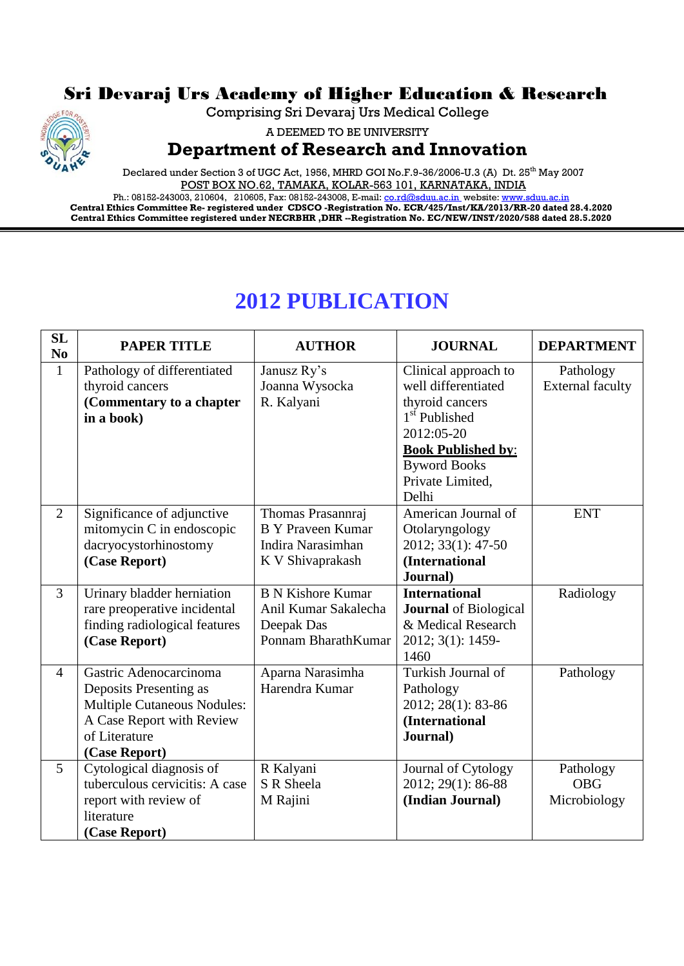## Sri Devaraj Urs Academy of Higher Education & Research

Comprising Sri Devaraj Urs Medical College



A DEEMED TO BE UNIVERSITY

## **Department of Research and Innovation**

Declared under Section 3 of UGC Act, 1956, MHRD GOI No.F.9-36/2006-U.3 (A) Dt. 25<sup>th</sup> May 2007 POST BOX NO.62, TAMAKA, KOLAR-563 101, KARNATAKA, INDIA

Ph.: 08152-243003, 210604, 210605, Fax: 08152-243008, E-mail: <u>co.rd@sduu.ac.in</u>\_website: <u>www.sduu.ac.in</u> **Central Ethics Committee Re- registered under CDSCO -Registration No. ECR/425/Inst/KA/2013/RR-20 dated 28.4.2020 Central Ethics Committee registered under NECRBHR ,DHR --Registration No. EC/NEW/INST/2020/588 dated 28.5.2020**

## **2012 PUBLICATION**

| <b>SL</b><br>N <sub>0</sub> | <b>PAPER TITLE</b>                 | <b>AUTHOR</b>            | <b>JOURNAL</b>               | <b>DEPARTMENT</b>       |
|-----------------------------|------------------------------------|--------------------------|------------------------------|-------------------------|
| $\mathbf{1}$                | Pathology of differentiated        | Janusz Ry's              | Clinical approach to         | Pathology               |
|                             | thyroid cancers                    | Joanna Wysocka           | well differentiated          | <b>External faculty</b> |
|                             | (Commentary to a chapter           | R. Kalyani               | thyroid cancers              |                         |
|                             | in a book)                         |                          | 1 <sup>st</sup> Published    |                         |
|                             |                                    |                          | 2012:05-20                   |                         |
|                             |                                    |                          | <b>Book Published by:</b>    |                         |
|                             |                                    |                          | <b>Byword Books</b>          |                         |
|                             |                                    |                          | Private Limited,             |                         |
|                             |                                    |                          | Delhi                        |                         |
| $\overline{2}$              | Significance of adjunctive         | Thomas Prasannraj        | American Journal of          | <b>ENT</b>              |
|                             | mitomycin C in endoscopic          | <b>B</b> Y Praveen Kumar | Otolaryngology               |                         |
|                             | dacryocystorhinostomy              | Indira Narasimhan        | 2012; 33(1): 47-50           |                         |
|                             | (Case Report)                      | K V Shivaprakash         | (International               |                         |
|                             |                                    |                          | Journal)                     |                         |
| $\overline{3}$              | Urinary bladder herniation         | <b>B N Kishore Kumar</b> | <b>International</b>         | Radiology               |
|                             | rare preoperative incidental       | Anil Kumar Sakalecha     | <b>Journal</b> of Biological |                         |
|                             | finding radiological features      | Deepak Das               | & Medical Research           |                         |
|                             | (Case Report)                      | Ponnam BharathKumar      | 2012; 3(1): 1459-            |                         |
|                             |                                    |                          | 1460                         |                         |
| $\overline{4}$              | Gastric Adenocarcinoma             | Aparna Narasimha         | Turkish Journal of           | Pathology               |
|                             | Deposits Presenting as             | Harendra Kumar           | Pathology                    |                         |
|                             | <b>Multiple Cutaneous Nodules:</b> |                          | 2012; 28(1): 83-86           |                         |
|                             | A Case Report with Review          |                          | (International               |                         |
|                             | of Literature                      |                          | Journal)                     |                         |
|                             | (Case Report)                      |                          |                              |                         |
| 5                           | Cytological diagnosis of           | R Kalyani                | Journal of Cytology          | Pathology               |
|                             | tuberculous cervicitis: A case     | S R Sheela               | 2012; 29(1): 86-88           | <b>OBG</b>              |
|                             | report with review of              | M Rajini                 | (Indian Journal)             | Microbiology            |
|                             |                                    |                          |                              |                         |
|                             | literature<br>(Case Report)        |                          |                              |                         |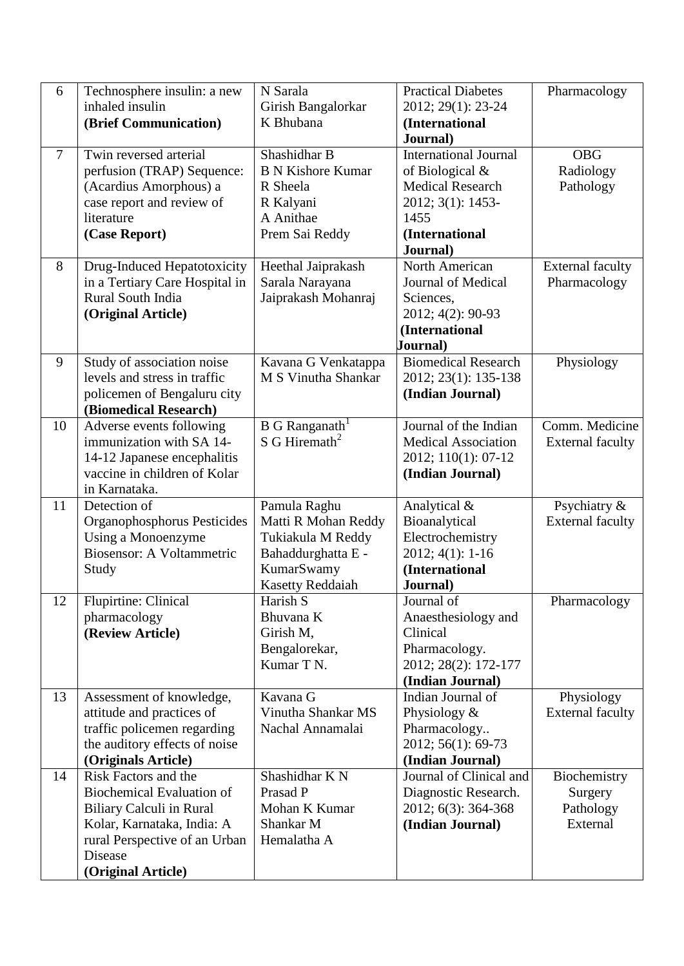| 6      | Technosphere insulin: a new                           | N Sarala                   | <b>Practical Diabetes</b>                | Pharmacology                          |
|--------|-------------------------------------------------------|----------------------------|------------------------------------------|---------------------------------------|
|        | inhaled insulin                                       | Girish Bangalorkar         | 2012; 29(1): 23-24                       |                                       |
|        | (Brief Communication)                                 | K Bhubana                  | (International                           |                                       |
| $\tau$ | Twin reversed arterial                                | Shashidhar B               | Journal)<br><b>International Journal</b> | <b>OBG</b>                            |
|        | perfusion (TRAP) Sequence:                            | <b>B N Kishore Kumar</b>   | of Biological $&$                        | Radiology                             |
|        | (Acardius Amorphous) a                                | R Sheela                   | <b>Medical Research</b>                  | Pathology                             |
|        | case report and review of                             | R Kalyani                  | 2012; 3(1): 1453-                        |                                       |
|        | literature                                            | A Anithae                  | 1455                                     |                                       |
|        | (Case Report)                                         | Prem Sai Reddy             | (International                           |                                       |
|        |                                                       |                            | Journal)                                 |                                       |
| 8      | Drug-Induced Hepatotoxicity                           | Heethal Jaiprakash         | North American                           | <b>External faculty</b>               |
|        | in a Tertiary Care Hospital in                        | Sarala Narayana            | Journal of Medical                       | Pharmacology                          |
|        | Rural South India                                     | Jaiprakash Mohanraj        | Sciences,                                |                                       |
|        | (Original Article)                                    |                            | 2012; 4(2): 90-93                        |                                       |
|        |                                                       |                            | (International                           |                                       |
|        |                                                       |                            | Journal)                                 |                                       |
| 9      | Study of association noise                            | Kavana G Venkatappa        | <b>Biomedical Research</b>               | Physiology                            |
|        | levels and stress in traffic                          | M S Vinutha Shankar        | 2012; 23(1): 135-138                     |                                       |
|        | policemen of Bengaluru city                           |                            | (Indian Journal)                         |                                       |
| 10     | (Biomedical Research)                                 | B G Ranganath <sup>1</sup> | Journal of the Indian                    | Comm. Medicine                        |
|        | Adverse events following<br>immunization with SA 14-  | S G Hiremath <sup>2</sup>  | <b>Medical Association</b>               | <b>External faculty</b>               |
|        | 14-12 Japanese encephalitis                           |                            | 2012; 110(1): 07-12                      |                                       |
|        | vaccine in children of Kolar                          |                            | (Indian Journal)                         |                                       |
|        | in Karnataka.                                         |                            |                                          |                                       |
| 11     | Detection of                                          | Pamula Raghu               | Analytical &                             | Psychiatry &                          |
|        | Organophosphorus Pesticides                           | Matti R Mohan Reddy        | Bioanalytical                            | <b>External faculty</b>               |
|        | Using a Monoenzyme                                    | Tukiakula M Reddy          | Electrochemistry                         |                                       |
|        | Biosensor: A Voltammetric                             | Bahaddurghatta E -         | $2012; 4(1): 1-16$                       |                                       |
|        | Study                                                 | KumarSwamy                 | (International                           |                                       |
|        |                                                       | <b>Kasetty Reddaiah</b>    | Journal)                                 |                                       |
| 12     | <b>Flupirtine: Clinical</b>                           | Harish S                   | Journal of                               | Pharmacology                          |
|        | pharmacology                                          | Bhuvana K                  | Anaesthesiology and                      |                                       |
|        | (Review Article)                                      | Girish M,                  | Clinical                                 |                                       |
|        |                                                       | Bengalorekar,              | Pharmacology.                            |                                       |
|        |                                                       | Kumar T N.                 | 2012; 28(2): 172-177                     |                                       |
|        |                                                       | Kavana G                   | (Indian Journal)<br>Indian Journal of    |                                       |
| 13     | Assessment of knowledge,<br>attitude and practices of | Vinutha Shankar MS         | Physiology &                             | Physiology<br><b>External faculty</b> |
|        | traffic policemen regarding                           | Nachal Annamalai           | Pharmacology                             |                                       |
|        | the auditory effects of noise                         |                            | 2012; 56(1): 69-73                       |                                       |
|        | (Originals Article)                                   |                            | (Indian Journal)                         |                                       |
| 14     | Risk Factors and the                                  | Shashidhar K N             | Journal of Clinical and                  | Biochemistry                          |
|        | <b>Biochemical Evaluation of</b>                      | Prasad P                   | Diagnostic Research.                     | Surgery                               |
|        | <b>Biliary Calculi in Rural</b>                       | Mohan K Kumar              | 2012; 6(3): 364-368                      | Pathology                             |
|        | Kolar, Karnataka, India: A                            | Shankar M                  | (Indian Journal)                         | External                              |
|        | rural Perspective of an Urban                         | Hemalatha A                |                                          |                                       |
|        | Disease                                               |                            |                                          |                                       |
|        | (Original Article)                                    |                            |                                          |                                       |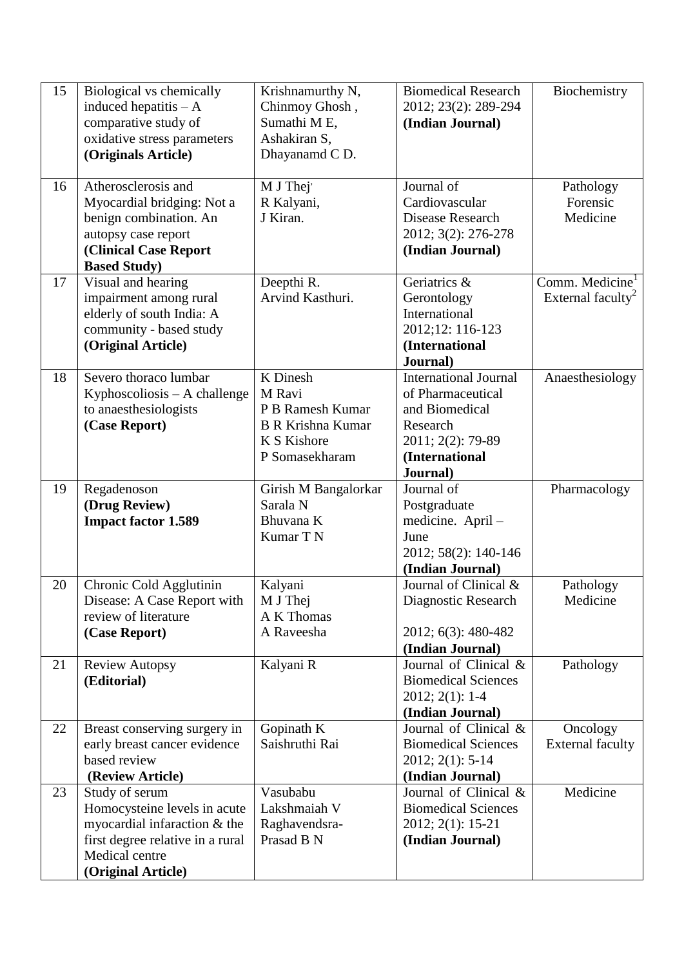| 15 | Biological vs chemically         | Krishnamurthy N,         | <b>Biomedical Research</b>   | Biochemistry                  |
|----|----------------------------------|--------------------------|------------------------------|-------------------------------|
|    | induced hepatitis $- A$          | Chinmoy Ghosh,           | 2012; 23(2): 289-294         |                               |
|    | comparative study of             | Sumathi M E,             | (Indian Journal)             |                               |
|    | oxidative stress parameters      | Ashakiran S,             |                              |                               |
|    | (Originals Article)              | Dhayanamd C D.           |                              |                               |
|    |                                  |                          |                              |                               |
| 16 | Atherosclerosis and              | M J Thej                 | Journal of                   | Pathology                     |
|    | Myocardial bridging: Not a       | R Kalyani,               | Cardiovascular               | Forensic                      |
|    | benign combination. An           | J Kiran.                 | Disease Research             | Medicine                      |
|    | autopsy case report              |                          | 2012; 3(2): 276-278          |                               |
|    | <b>(Clinical Case Report</b>     |                          | (Indian Journal)             |                               |
|    | <b>Based Study</b> )             |                          |                              |                               |
| 17 | Visual and hearing               | Deepthi R.               | Geriatrics &                 | Comm. Medicine <sup>1</sup>   |
|    | impairment among rural           | Arvind Kasthuri.         | Gerontology                  | External faculty <sup>2</sup> |
|    | elderly of south India: A        |                          | International                |                               |
|    | community - based study          |                          | 2012;12: 116-123             |                               |
|    | (Original Article)               |                          | (International               |                               |
|    |                                  |                          | Journal)                     |                               |
| 18 | Severo thoraco lumbar            | K Dinesh                 | <b>International Journal</b> | Anaesthesiology               |
|    | Kyphoscoliosis $- A$ challenge   | M Ravi                   | of Pharmaceutical            |                               |
|    | to anaesthesiologists            | P B Ramesh Kumar         | and Biomedical               |                               |
|    | (Case Report)                    | <b>B R Krishna Kumar</b> | Research                     |                               |
|    |                                  | K S Kishore              | 2011; 2(2): 79-89            |                               |
|    |                                  | P Somasekharam           | (International               |                               |
|    |                                  |                          | Journal)                     |                               |
| 19 | Regadenoson                      | Girish M Bangalorkar     | Journal of                   | Pharmacology                  |
|    | (Drug Review)                    | Sarala N                 | Postgraduate                 |                               |
|    | <b>Impact factor 1.589</b>       | Bhuvana K                | medicine. April-             |                               |
|    |                                  | Kumar T N                | June                         |                               |
|    |                                  |                          | 2012; 58(2): 140-146         |                               |
|    |                                  |                          | (Indian Journal)             |                               |
| 20 | Chronic Cold Agglutinin          | Kalyani                  | Journal of Clinical &        | Pathology                     |
|    | Disease: A Case Report with      | M J Thej                 | Diagnostic Research          | Medicine                      |
|    | review of literature             | A K Thomas               |                              |                               |
|    | (Case Report)                    | A Raveesha               | 2012; 6(3): 480-482          |                               |
|    |                                  |                          | (Indian Journal)             |                               |
| 21 | <b>Review Autopsy</b>            | Kalyani R                | Journal of Clinical &        | Pathology                     |
|    | (Editorial)                      |                          | <b>Biomedical Sciences</b>   |                               |
|    |                                  |                          | 2012; 2(1): 1-4              |                               |
|    |                                  |                          | (Indian Journal)             |                               |
| 22 | Breast conserving surgery in     | Gopinath K               | Journal of Clinical &        | Oncology                      |
|    | early breast cancer evidence     | Saishruthi Rai           | <b>Biomedical Sciences</b>   | <b>External faculty</b>       |
|    | based review                     |                          | 2012; 2(1): 5-14             |                               |
|    | (Review Article)                 |                          | (Indian Journal)             |                               |
| 23 | Study of serum                   | Vasubabu                 | Journal of Clinical &        | Medicine                      |
|    | Homocysteine levels in acute     | Lakshmaiah V             | <b>Biomedical Sciences</b>   |                               |
|    | myocardial infaraction & the     | Raghavendsra-            | 2012; 2(1): 15-21            |                               |
|    | first degree relative in a rural | Prasad B N               | (Indian Journal)             |                               |
|    | Medical centre                   |                          |                              |                               |
|    | (Original Article)               |                          |                              |                               |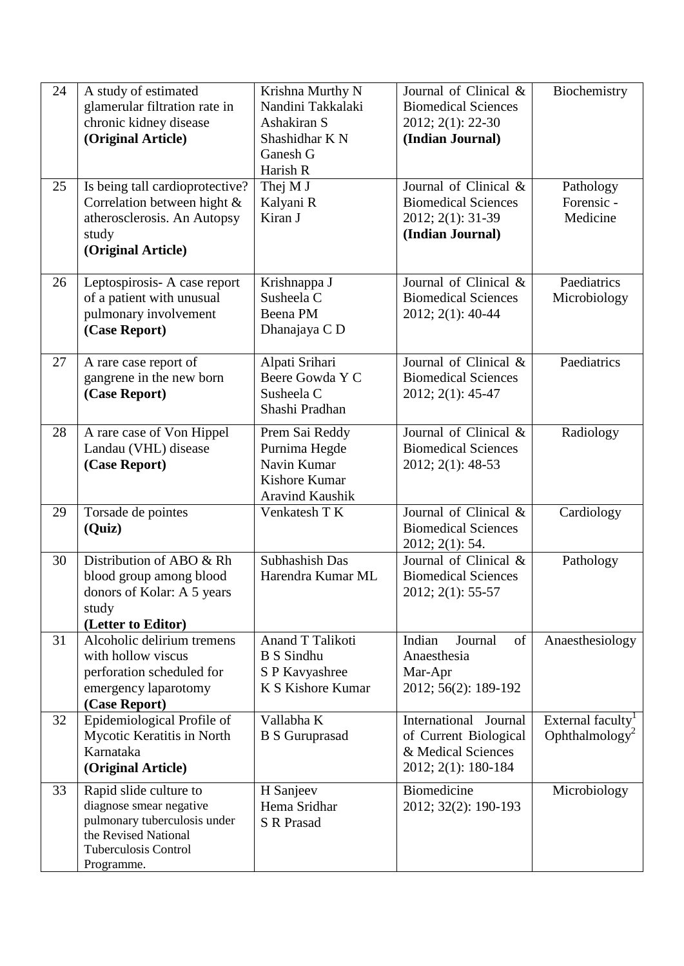| 24<br>25 | A study of estimated<br>glamerular filtration rate in<br>chronic kidney disease<br>(Original Article)<br>Is being tall cardioprotective?               | Krishna Murthy N<br>Nandini Takkalaki<br>Ashakiran S<br>Shashidhar K N<br>Ganesh G<br>Harish R<br>Thej M J | Journal of Clinical &<br><b>Biomedical Sciences</b><br>2012; 2(1): 22-30<br>(Indian Journal)<br>Journal of Clinical & | Biochemistry<br>Pathology                                   |
|----------|--------------------------------------------------------------------------------------------------------------------------------------------------------|------------------------------------------------------------------------------------------------------------|-----------------------------------------------------------------------------------------------------------------------|-------------------------------------------------------------|
|          | Correlation between hight &<br>atherosclerosis. An Autopsy<br>study<br>(Original Article)                                                              | Kalyani R<br>Kiran J                                                                                       | <b>Biomedical Sciences</b><br>2012; 2(1): 31-39<br>(Indian Journal)                                                   | Forensic -<br>Medicine                                      |
| 26       | Leptospirosis-A case report<br>of a patient with unusual<br>pulmonary involvement<br>(Case Report)                                                     | Krishnappa J<br>Susheela C<br>Beena PM<br>Dhanajaya C D                                                    | Journal of Clinical &<br><b>Biomedical Sciences</b><br>2012; 2(1): 40-44                                              | Paediatrics<br>Microbiology                                 |
| 27       | A rare case report of<br>gangrene in the new born<br>(Case Report)                                                                                     | Alpati Srihari<br>Beere Gowda Y C<br>Susheela C<br>Shashi Pradhan                                          | Journal of Clinical &<br><b>Biomedical Sciences</b><br>2012; 2(1): 45-47                                              | Paediatrics                                                 |
| 28       | A rare case of Von Hippel<br>Landau (VHL) disease<br>(Case Report)                                                                                     | Prem Sai Reddy<br>Purnima Hegde<br>Navin Kumar<br>Kishore Kumar<br><b>Aravind Kaushik</b>                  | Journal of Clinical &<br><b>Biomedical Sciences</b><br>2012; 2(1): 48-53                                              | Radiology                                                   |
| 29       | Torsade de pointes<br>(Quiz)                                                                                                                           | Venkatesh T K                                                                                              | Journal of Clinical &<br><b>Biomedical Sciences</b><br>2012; 2(1): 54.                                                | Cardiology                                                  |
| 30       | Distribution of ABO & Rh<br>blood group among blood<br>donors of Kolar: A 5 years<br>study<br>(Letter to Editor)                                       | Subhashish Das<br>Harendra Kumar ML                                                                        | Journal of Clinical &<br><b>Biomedical Sciences</b><br>2012; 2(1): 55-57                                              | Pathology                                                   |
| 31       | Alcoholic delirium tremens<br>with hollow viscus<br>perforation scheduled for<br>emergency laparotomy<br>(Case Report)                                 | Anand T Talikoti<br><b>B</b> S Sindhu<br>S P Kavyashree<br>K S Kishore Kumar                               | Indian<br>Journal<br>of<br>Anaesthesia<br>Mar-Apr<br>2012; 56(2): 189-192                                             | Anaesthesiology                                             |
| 32       | Epidemiological Profile of<br>Mycotic Keratitis in North<br>Karnataka<br>(Original Article)                                                            | Vallabha K<br><b>B S Guruprasad</b>                                                                        | International Journal<br>of Current Biological<br>& Medical Sciences<br>2012; 2(1): 180-184                           | External faculty <sup>1</sup><br>Ophthalmology <sup>2</sup> |
| 33       | Rapid slide culture to<br>diagnose smear negative<br>pulmonary tuberculosis under<br>the Revised National<br><b>Tuberculosis Control</b><br>Programme. | H Sanjeev<br>Hema Sridhar<br><b>S</b> R Prasad                                                             | Biomedicine<br>2012; 32(2): 190-193                                                                                   | Microbiology                                                |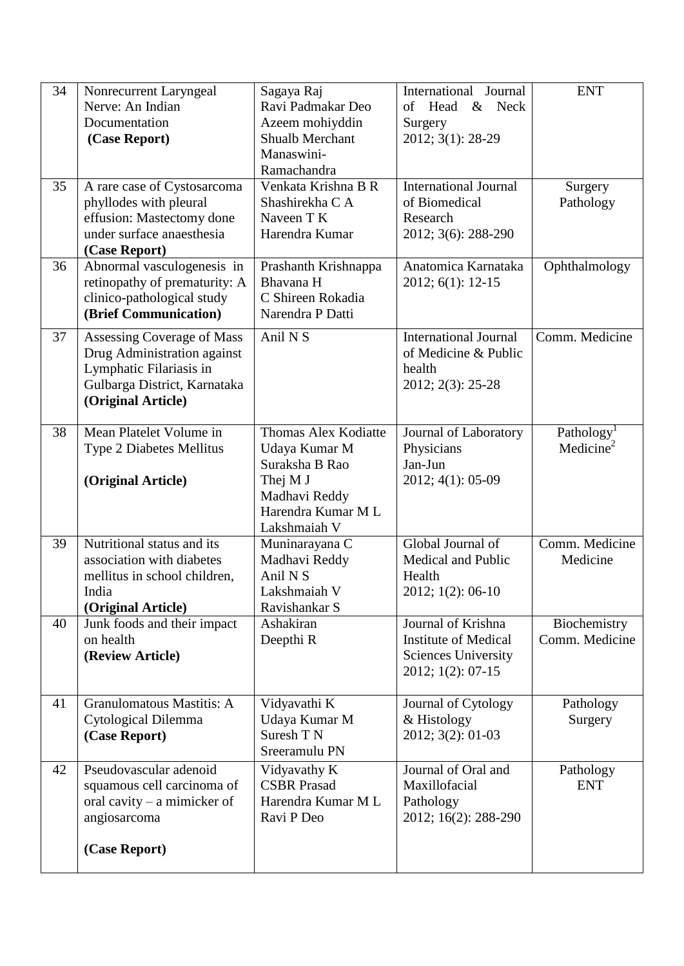| 34 | Nonrecurrent Laryngeal                        | Sagaya Raj                         | International Journal        | <b>ENT</b>                                      |
|----|-----------------------------------------------|------------------------------------|------------------------------|-------------------------------------------------|
|    | Nerve: An Indian                              | Ravi Padmakar Deo                  | of<br>Head<br>& Neck         |                                                 |
|    | Documentation                                 | Azeem mohiyddin                    | Surgery                      |                                                 |
|    | (Case Report)                                 | <b>Shualb Merchant</b>             | 2012; 3(1): 28-29            |                                                 |
|    |                                               | Manaswini-                         |                              |                                                 |
|    |                                               | Ramachandra                        |                              |                                                 |
| 35 | A rare case of Cystosarcoma                   | Venkata Krishna B R                | <b>International Journal</b> | Surgery                                         |
|    | phyllodes with pleural                        | Shashirekha C A                    | of Biomedical                | Pathology                                       |
|    | effusion: Mastectomy done                     | Naveen T K                         | Research                     |                                                 |
|    | under surface anaesthesia                     | Harendra Kumar                     | 2012; 3(6): 288-290          |                                                 |
|    | (Case Report)                                 |                                    |                              |                                                 |
| 36 | Abnormal vasculogenesis in                    | Prashanth Krishnappa               | Anatomica Karnataka          | Ophthalmology                                   |
|    | retinopathy of prematurity: A                 | Bhavana H<br>C Shireen Rokadia     | 2012; 6(1): 12-15            |                                                 |
|    | clinico-pathological study                    | Narendra P Datti                   |                              |                                                 |
|    | (Brief Communication)                         |                                    |                              |                                                 |
| 37 | Assessing Coverage of Mass                    | Anil N <sub>S</sub>                | International Journal        | Comm. Medicine                                  |
|    | Drug Administration against                   |                                    | of Medicine & Public         |                                                 |
|    | Lymphatic Filariasis in                       |                                    | health                       |                                                 |
|    | Gulbarga District, Karnataka                  |                                    | 2012; 2(3): 25-28            |                                                 |
|    | (Original Article)                            |                                    |                              |                                                 |
| 38 | Mean Platelet Volume in                       | <b>Thomas Alex Kodiatte</b>        | Journal of Laboratory        |                                                 |
|    | Type 2 Diabetes Mellitus                      | Udaya Kumar M                      | Physicians                   | Pathology <sup>1</sup><br>Medicine <sup>2</sup> |
|    |                                               | Suraksha B Rao                     | Jan-Jun                      |                                                 |
|    | (Original Article)                            | Thej M J                           | 2012; 4(1): 05-09            |                                                 |
|    |                                               | Madhavi Reddy                      |                              |                                                 |
|    |                                               | Harendra Kumar M L                 |                              |                                                 |
|    |                                               | Lakshmaiah V                       |                              |                                                 |
| 39 | Nutritional status and its                    | Muninarayana C                     | Global Journal of            | Comm. Medicine                                  |
|    | association with diabetes                     | Madhavi Reddy                      | Medical and Public           | Medicine                                        |
|    | mellitus in school children,                  | Anil N <sub>S</sub>                | Health                       |                                                 |
|    | India                                         | Lakshmaiah V                       | 2012; 1(2): 06-10            |                                                 |
|    | (Original Article)                            | Ravishankar S                      |                              |                                                 |
| 40 | Junk foods and their impact                   | Ashakiran                          | Journal of Krishna           | Biochemistry                                    |
|    | on health                                     | Deepthi R                          | <b>Institute of Medical</b>  | Comm. Medicine                                  |
|    | (Review Article)                              |                                    | <b>Sciences University</b>   |                                                 |
|    |                                               |                                    | 2012; 1(2): 07-15            |                                                 |
|    |                                               |                                    |                              |                                                 |
| 41 | Granulomatous Mastitis: A                     | Vidyavathi K<br>Udaya Kumar M      | Journal of Cytology          | Pathology                                       |
|    | Cytological Dilemma                           | Suresh T N                         | & Histology                  | Surgery                                         |
|    | (Case Report)                                 | Sreeramulu PN                      | 2012; 3(2): 01-03            |                                                 |
| 42 | Pseudovascular adenoid                        |                                    | Journal of Oral and          |                                                 |
|    | squamous cell carcinoma of                    | Vidyavathy K<br><b>CSBR</b> Prasad | Maxillofacial                | Pathology<br><b>ENT</b>                         |
|    |                                               | Harendra Kumar M L                 | Pathology                    |                                                 |
|    | oral cavity $-$ a mimicker of<br>angiosarcoma | Ravi P Deo                         | 2012; 16(2): 288-290         |                                                 |
|    |                                               |                                    |                              |                                                 |
|    | (Case Report)                                 |                                    |                              |                                                 |
|    |                                               |                                    |                              |                                                 |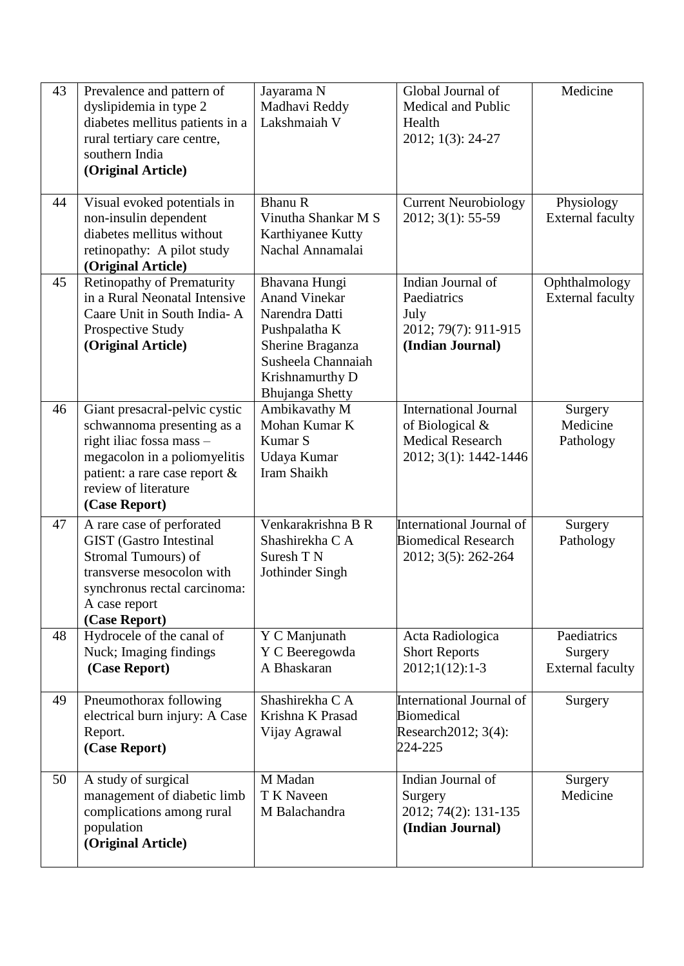| 43 | Prevalence and pattern of<br>dyslipidemia in type 2<br>diabetes mellitus patients in a<br>rural tertiary care centre,<br>southern India<br>(Original Article)                                     | Jayarama N<br>Madhavi Reddy<br>Lakshmaiah V                                                                                                                     | Global Journal of<br><b>Medical and Public</b><br>Health<br>2012; 1(3): 24-27                         | Medicine                                          |
|----|---------------------------------------------------------------------------------------------------------------------------------------------------------------------------------------------------|-----------------------------------------------------------------------------------------------------------------------------------------------------------------|-------------------------------------------------------------------------------------------------------|---------------------------------------------------|
| 44 | Visual evoked potentials in<br>non-insulin dependent<br>diabetes mellitus without<br>retinopathy: A pilot study<br>(Original Article)                                                             | <b>Bhanu R</b><br>Vinutha Shankar M S<br>Karthiyanee Kutty<br>Nachal Annamalai                                                                                  | <b>Current Neurobiology</b><br>2012; 3(1): 55-59                                                      | Physiology<br><b>External faculty</b>             |
| 45 | <b>Retinopathy of Prematurity</b><br>in a Rural Neonatal Intensive<br>Caare Unit in South India- A<br>Prospective Study<br>(Original Article)                                                     | Bhavana Hungi<br><b>Anand Vinekar</b><br>Narendra Datti<br>Pushpalatha K<br>Sherine Braganza<br>Susheela Channaiah<br>Krishnamurthy D<br><b>Bhujanga Shetty</b> | Indian Journal of<br>Paediatrics<br>July<br>2012; 79(7): 911-915<br>(Indian Journal)                  | Ophthalmology<br><b>External faculty</b>          |
| 46 | Giant presacral-pelvic cystic<br>schwannoma presenting as a<br>right iliac fossa mass -<br>megacolon in a poliomyelitis<br>patient: a rare case report &<br>review of literature<br>(Case Report) | Ambikavathy M<br>Mohan Kumar K<br>Kumar S<br>Udaya Kumar<br>Iram Shaikh                                                                                         | <b>International Journal</b><br>of Biological $&$<br><b>Medical Research</b><br>2012; 3(1): 1442-1446 | Surgery<br>Medicine<br>Pathology                  |
| 47 | A rare case of perforated<br><b>GIST</b> (Gastro Intestinal<br>Stromal Tumours) of<br>transverse mesocolon with<br>synchronus rectal carcinoma:<br>A case report<br>(Case Report)                 | Venkarakrishna B R<br>Shashirekha C A<br>Suresh T N<br>Jothinder Singh                                                                                          | International Journal of<br><b>Biomedical Research</b><br>2012; 3(5): 262-264                         | Surgery<br>Pathology                              |
| 48 | Hydrocele of the canal of<br>Nuck; Imaging findings<br>(Case Report)                                                                                                                              | Y C Manjunath<br>Y C Beeregowda<br>A Bhaskaran                                                                                                                  | Acta Radiologica<br><b>Short Reports</b><br>$2012;1(12):1-3$                                          | Paediatrics<br>Surgery<br><b>External faculty</b> |
| 49 | Pneumothorax following<br>electrical burn injury: A Case<br>Report.<br>(Case Report)                                                                                                              | Shashirekha C A<br>Krishna K Prasad<br>Vijay Agrawal                                                                                                            | International Journal of<br><b>Biomedical</b><br>Research 2012; 3(4):<br>224-225                      | Surgery                                           |
| 50 | A study of surgical<br>management of diabetic limb<br>complications among rural<br>population<br>(Original Article)                                                                               | M Madan<br>T K Naveen<br>M Balachandra                                                                                                                          | Indian Journal of<br>Surgery<br>2012; 74(2): 131-135<br>(Indian Journal)                              | Surgery<br>Medicine                               |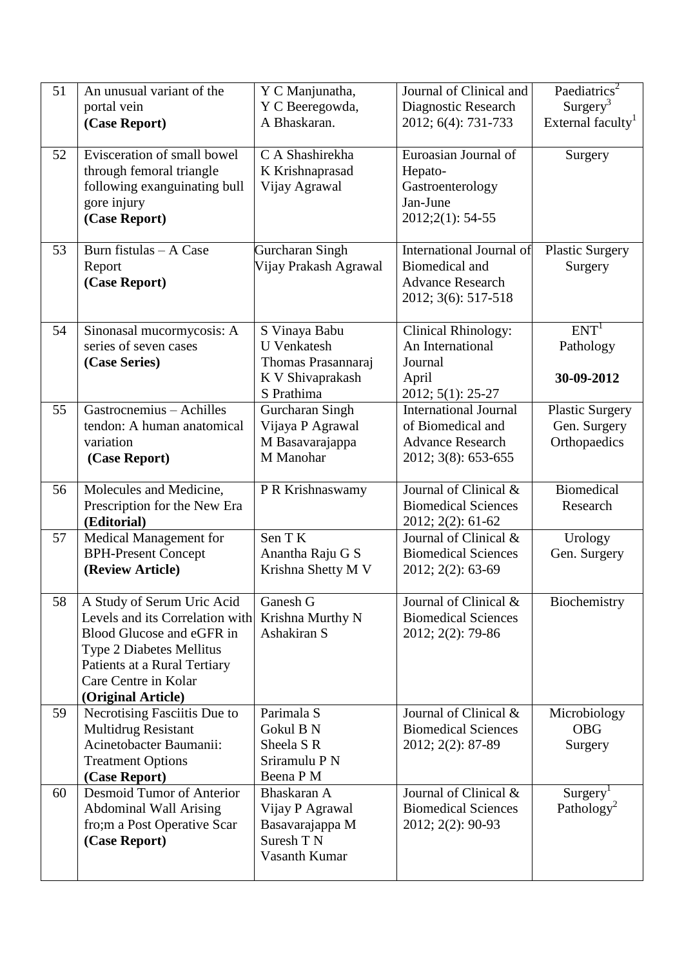| 51 | An unusual variant of the                 | Y C Manjunatha,                | Journal of Clinical and                           | Paediatrics <sup>2</sup>      |
|----|-------------------------------------------|--------------------------------|---------------------------------------------------|-------------------------------|
|    | portal vein                               | Y C Beeregowda,                | Diagnostic Research                               | Surgery <sup>3</sup>          |
|    | (Case Report)                             | A Bhaskaran.                   | 2012; 6(4): 731-733                               | External faculty <sup>1</sup> |
|    |                                           |                                |                                                   |                               |
| 52 | Evisceration of small bowel               | C A Shashirekha                | Euroasian Journal of                              | Surgery                       |
|    | through femoral triangle                  | K Krishnaprasad                | Hepato-                                           |                               |
|    | following exanguinating bull              | Vijay Agrawal                  | Gastroenterology                                  |                               |
|    | gore injury                               |                                | Jan-June                                          |                               |
|    | (Case Report)                             |                                | 2012;2(1): 54-55                                  |                               |
| 53 | Burn fistulas - A Case                    | Gurcharan Singh                | International Journal of                          | <b>Plastic Surgery</b>        |
|    | Report                                    | Vijay Prakash Agrawal          | <b>Biomedical and</b>                             | Surgery                       |
|    | (Case Report)                             |                                | <b>Advance Research</b>                           |                               |
|    |                                           |                                | 2012; 3(6): 517-518                               |                               |
|    |                                           |                                |                                                   |                               |
| 54 | Sinonasal mucormycosis: A                 | S Vinaya Babu                  | <b>Clinical Rhinology:</b>                        | ENT <sup>1</sup>              |
|    | series of seven cases                     | <b>U</b> Venkatesh             | An International                                  | Pathology                     |
|    | (Case Series)                             | Thomas Prasannaraj             | Journal                                           |                               |
|    |                                           | K V Shivaprakash<br>S Prathima | April                                             | 30-09-2012                    |
| 55 | Gastrocnemius - Achilles                  | Gurcharan Singh                | 2012; 5(1): 25-27<br><b>International Journal</b> | <b>Plastic Surgery</b>        |
|    | tendon: A human anatomical                | Vijaya P Agrawal               | of Biomedical and                                 | Gen. Surgery                  |
|    | variation                                 | M Basavarajappa                | <b>Advance Research</b>                           | Orthopaedics                  |
|    | (Case Report)                             | M Manohar                      | 2012; 3(8): 653-655                               |                               |
|    |                                           |                                |                                                   |                               |
| 56 | Molecules and Medicine,                   | P R Krishnaswamy               | Journal of Clinical $\&$                          | <b>Biomedical</b>             |
|    | Prescription for the New Era              |                                | <b>Biomedical Sciences</b>                        | Research                      |
|    | (Editorial)                               |                                | 2012; 2(2): 61-62                                 |                               |
| 57 | Medical Management for                    | Sen TK                         | Journal of Clinical &                             | Urology                       |
|    | <b>BPH-Present Concept</b>                | Anantha Raju G S               | <b>Biomedical Sciences</b>                        | Gen. Surgery                  |
|    | (Review Article)                          | Krishna Shetty M V             | 2012; 2(2): 63-69                                 |                               |
| 58 | A Study of Serum Uric Acid                | Ganesh G                       | Journal of Clinical &                             | Biochemistry                  |
|    | Levels and its Correlation with           | Krishna Murthy N               | <b>Biomedical Sciences</b>                        |                               |
|    | Blood Glucose and eGFR in                 | Ashakiran S                    | 2012; 2(2): 79-86                                 |                               |
|    | <b>Type 2 Diabetes Mellitus</b>           |                                |                                                   |                               |
|    | Patients at a Rural Tertiary              |                                |                                                   |                               |
|    | Care Centre in Kolar                      |                                |                                                   |                               |
|    | (Original Article)                        |                                |                                                   |                               |
| 59 | Necrotising Fasciitis Due to              | Parimala S                     | Journal of Clinical &                             | Microbiology                  |
|    | <b>Multidrug Resistant</b>                | Gokul B N                      | <b>Biomedical Sciences</b>                        | <b>OBG</b>                    |
|    | Acinetobacter Baumanii:                   | Sheela S R<br>Sriramulu P N    | 2012; 2(2): 87-89                                 | Surgery                       |
|    | <b>Treatment Options</b><br>(Case Report) | Beena P M                      |                                                   |                               |
| 60 | Desmoid Tumor of Anterior                 | Bhaskaran A                    | Journal of Clinical &                             | Surgery <sup>1</sup>          |
|    | <b>Abdominal Wall Arising</b>             | Vijay P Agrawal                | <b>Biomedical Sciences</b>                        | Pathology <sup>2</sup>        |
|    | fro;m a Post Operative Scar               | Basavarajappa M                | 2012; 2(2): 90-93                                 |                               |
|    | (Case Report)                             | Suresh T N                     |                                                   |                               |
|    |                                           | Vasanth Kumar                  |                                                   |                               |
|    |                                           |                                |                                                   |                               |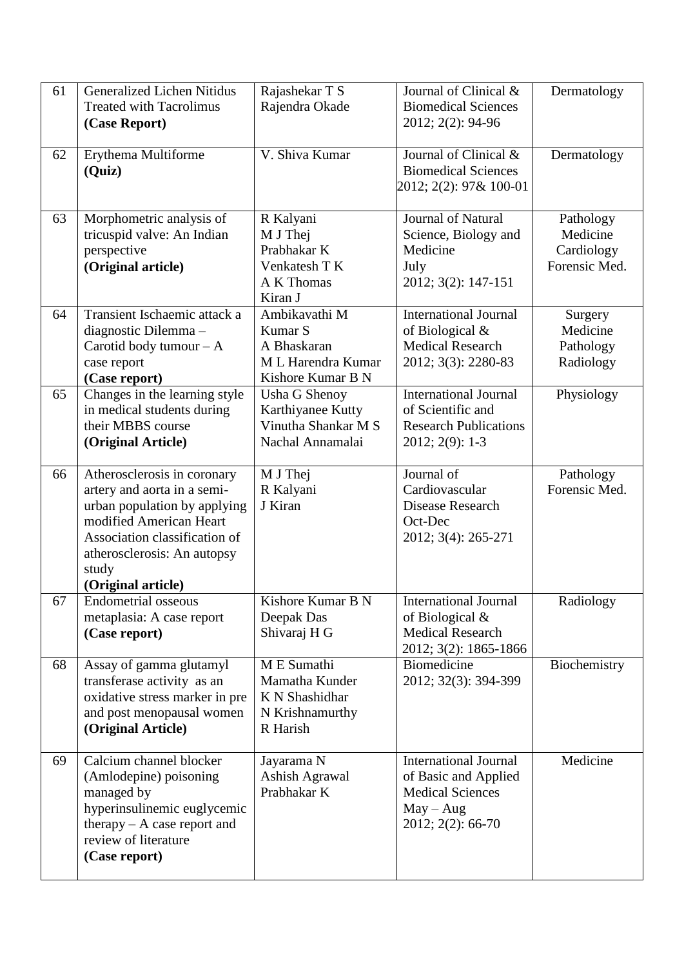| 61 | <b>Generalized Lichen Nitidus</b><br><b>Treated with Tacrolimus</b><br>(Case Report)                                                                                                                                 | Rajashekar T S<br>Rajendra Okade                                                              | Journal of Clinical &<br><b>Biomedical Sciences</b><br>2012; 2(2): 94-96                                            | Dermatology                                          |
|----|----------------------------------------------------------------------------------------------------------------------------------------------------------------------------------------------------------------------|-----------------------------------------------------------------------------------------------|---------------------------------------------------------------------------------------------------------------------|------------------------------------------------------|
| 62 | Erythema Multiforme<br>(Quiz)                                                                                                                                                                                        | V. Shiva Kumar                                                                                | Journal of Clinical &<br><b>Biomedical Sciences</b><br>2012; 2(2): 97& 100-01                                       | Dermatology                                          |
| 63 | Morphometric analysis of<br>tricuspid valve: An Indian<br>perspective<br>(Original article)                                                                                                                          | R Kalyani<br>M J Thej<br>Prabhakar K<br>Venkatesh T K<br>A K Thomas<br>Kiran J                | <b>Journal of Natural</b><br>Science, Biology and<br>Medicine<br>July<br>2012; 3(2): 147-151                        | Pathology<br>Medicine<br>Cardiology<br>Forensic Med. |
| 64 | Transient Ischaemic attack a<br>diagnostic Dilemma-<br>Carotid body tumour $-A$<br>case report<br>(Case report)                                                                                                      | Ambikavathi M<br>Kumar <sub>S</sub><br>A Bhaskaran<br>M L Harendra Kumar<br>Kishore Kumar B N | <b>International Journal</b><br>of Biological $&$<br><b>Medical Research</b><br>2012; 3(3): 2280-83                 | Surgery<br>Medicine<br>Pathology<br>Radiology        |
| 65 | Changes in the learning style<br>in medical students during<br>their MBBS course<br>(Original Article)                                                                                                               | <b>Usha G Shenoy</b><br>Karthiyanee Kutty<br>Vinutha Shankar M S<br>Nachal Annamalai          | <b>International Journal</b><br>of Scientific and<br><b>Research Publications</b><br>$2012; 2(9): 1-3$              | Physiology                                           |
| 66 | Atherosclerosis in coronary<br>artery and aorta in a semi-<br>urban population by applying<br>modified American Heart<br>Association classification of<br>atherosclerosis: An autopsy<br>study<br>(Original article) | M J Thej<br>R Kalyani<br>J Kiran                                                              | Journal of<br>Cardiovascular<br>Disease Research<br>Oct-Dec<br>2012; 3(4): 265-271                                  | Pathology<br>Forensic Med.                           |
| 67 | <b>Endometrial osseous</b><br>metaplasia: A case report<br>(Case report)                                                                                                                                             | Kishore Kumar B N<br>Deepak Das<br>Shivaraj H G                                               | <b>International Journal</b><br>of Biological $&$<br><b>Medical Research</b><br>2012; 3(2): 1865-1866               | Radiology                                            |
| 68 | Assay of gamma glutamyl<br>transferase activity as an<br>oxidative stress marker in pre<br>and post menopausal women<br>(Original Article)                                                                           | M E Sumathi<br>Mamatha Kunder<br>K N Shashidhar<br>N Krishnamurthy<br>R Harish                | <b>Biomedicine</b><br>2012; 32(3): 394-399                                                                          | Biochemistry                                         |
| 69 | Calcium channel blocker<br>(Amlodepine) poisoning<br>managed by<br>hyperinsulinemic euglycemic<br>therapy $- A$ case report and<br>review of literature<br>(Case report)                                             | Jayarama N<br><b>Ashish Agrawal</b><br>Prabhakar K                                            | <b>International Journal</b><br>of Basic and Applied<br><b>Medical Sciences</b><br>$May - Aug$<br>2012; 2(2): 66-70 | Medicine                                             |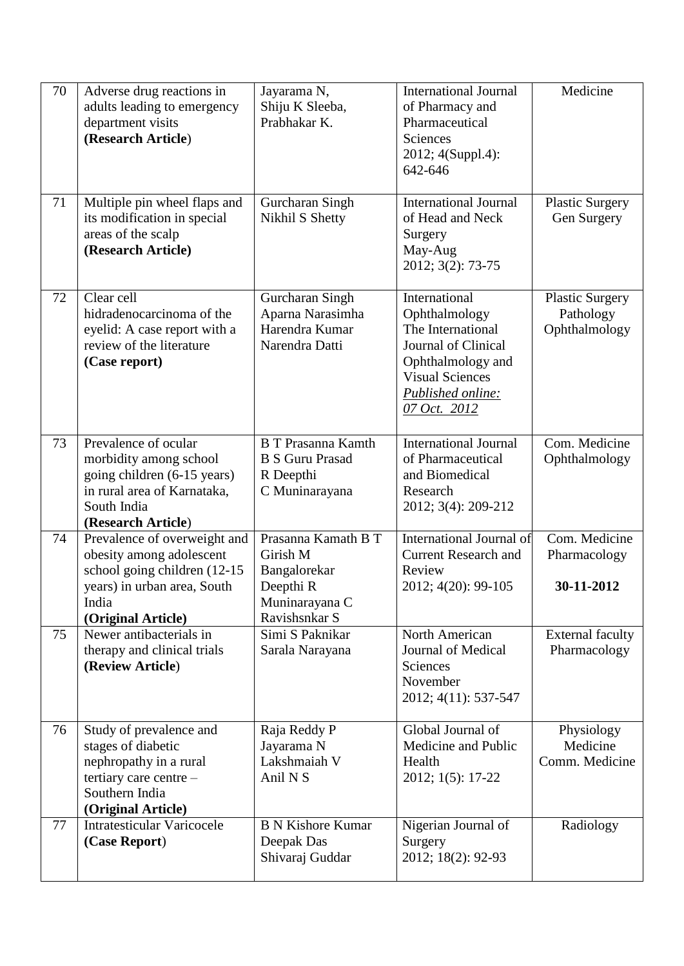| 70 | Adverse drug reactions in<br>adults leading to emergency<br>department visits<br>(Research Article)                                                    | Jayarama N,<br>Shiju K Sleeba,<br>Prabhakar K.                                                  | International Journal<br>of Pharmacy and<br>Pharmaceutical<br><b>Sciences</b><br>2012; 4(Suppl.4):<br>642-646                                                  | Medicine                                             |
|----|--------------------------------------------------------------------------------------------------------------------------------------------------------|-------------------------------------------------------------------------------------------------|----------------------------------------------------------------------------------------------------------------------------------------------------------------|------------------------------------------------------|
| 71 | Multiple pin wheel flaps and<br>its modification in special<br>areas of the scalp<br>(Research Article)                                                | Gurcharan Singh<br>Nikhil S Shetty                                                              | <b>International Journal</b><br>of Head and Neck<br>Surgery<br>May-Aug<br>2012; 3(2): 73-75                                                                    | <b>Plastic Surgery</b><br>Gen Surgery                |
| 72 | Clear cell<br>hidradenocarcinoma of the<br>eyelid: A case report with a<br>review of the literature<br>(Case report)                                   | Gurcharan Singh<br>Aparna Narasimha<br>Harendra Kumar<br>Narendra Datti                         | International<br>Ophthalmology<br>The International<br>Journal of Clinical<br>Ophthalmology and<br><b>Visual Sciences</b><br>Published online:<br>07 Oct. 2012 | <b>Plastic Surgery</b><br>Pathology<br>Ophthalmology |
| 73 | Prevalence of ocular<br>morbidity among school<br>going children (6-15 years)<br>in rural area of Karnataka,<br>South India<br>(Research Article)      | <b>B T Prasanna Kamth</b><br><b>B S Guru Prasad</b><br>R Deepthi<br>C Muninarayana              | <b>International Journal</b><br>of Pharmaceutical<br>and Biomedical<br>Research<br>2012; 3(4): 209-212                                                         | Com. Medicine<br>Ophthalmology                       |
| 74 | Prevalence of overweight and<br>obesity among adolescent<br>school going children (12-15<br>years) in urban area, South<br>India<br>(Original Article) | Prasanna Kamath B T<br>Girish M<br>Bangalorekar<br>Deepthi R<br>Muninarayana C<br>Ravishsnkar S | International Journal of<br><b>Current Research and</b><br>Review<br>2012; 4(20): 99-105                                                                       | Com. Medicine<br>Pharmacology<br>30-11-2012          |
| 75 | Newer antibacterials in<br>therapy and clinical trials<br>(Review Article)                                                                             | Simi S Paknikar<br>Sarala Narayana                                                              | North American<br>Journal of Medical<br>Sciences<br>November<br>2012; 4(11): 537-547                                                                           | <b>External faculty</b><br>Pharmacology              |
| 76 | Study of prevalence and<br>stages of diabetic<br>nephropathy in a rural<br>tertiary care centre -<br>Southern India<br>(Original Article)              | Raja Reddy P<br>Jayarama N<br>Lakshmaiah V<br>Anil N <sub>S</sub>                               | Global Journal of<br>Medicine and Public<br>Health<br>2012; 1(5): 17-22                                                                                        | Physiology<br>Medicine<br>Comm. Medicine             |
| 77 | <b>Intratesticular Varicocele</b><br>(Case Report)                                                                                                     | <b>B N Kishore Kumar</b><br>Deepak Das<br>Shivaraj Guddar                                       | Nigerian Journal of<br>Surgery<br>2012; 18(2): 92-93                                                                                                           | Radiology                                            |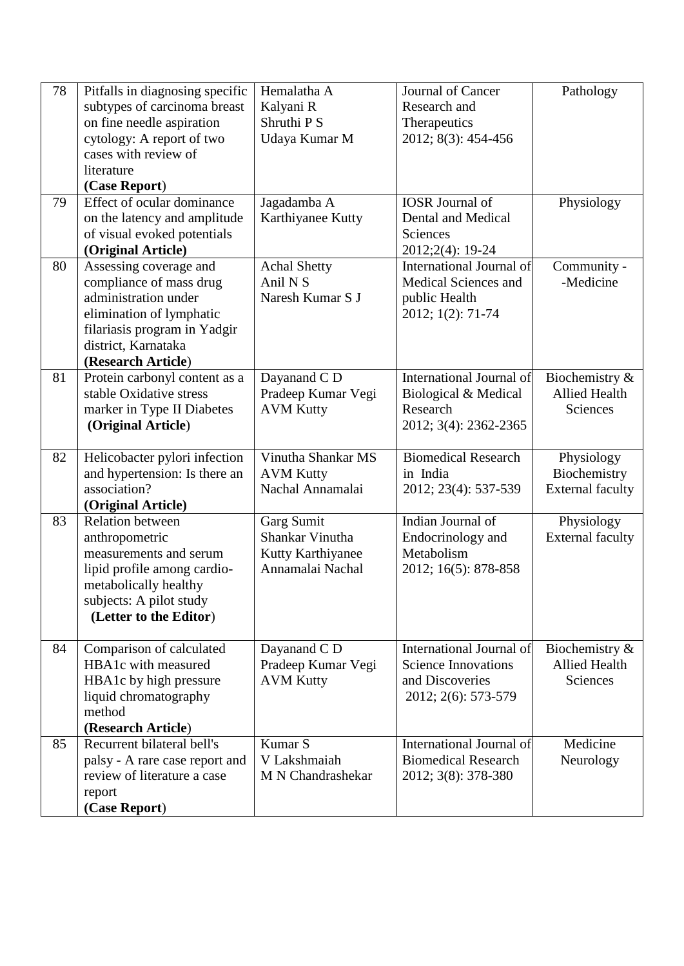| 78 | Pitfalls in diagnosing specific<br>subtypes of carcinoma breast<br>on fine needle aspiration<br>cytology: A report of two<br>cases with review of<br>literature                    | Hemalatha A<br>Kalyani R<br>Shruthi P S<br>Udaya Kumar M               | Journal of Cancer<br>Research and<br>Therapeutics<br>2012; 8(3): 454-456                         | Pathology                                                    |
|----|------------------------------------------------------------------------------------------------------------------------------------------------------------------------------------|------------------------------------------------------------------------|--------------------------------------------------------------------------------------------------|--------------------------------------------------------------|
|    | (Case Report)                                                                                                                                                                      |                                                                        |                                                                                                  |                                                              |
| 79 | Effect of ocular dominance<br>on the latency and amplitude<br>of visual evoked potentials<br>(Original Article)                                                                    | Jagadamba A<br>Karthiyanee Kutty                                       | <b>IOSR</b> Journal of<br>Dental and Medical<br>Sciences<br>2012;2(4): 19-24                     | Physiology                                                   |
| 80 | Assessing coverage and<br>compliance of mass drug<br>administration under<br>elimination of lymphatic<br>filariasis program in Yadgir<br>district, Karnataka<br>(Research Article) | <b>Achal Shetty</b><br>Anil N <sub>S</sub><br>Naresh Kumar S J         | International Journal of<br>Medical Sciences and<br>public Health<br>2012; 1(2): 71-74           | Community -<br>-Medicine                                     |
| 81 | Protein carbonyl content as a<br>stable Oxidative stress<br>marker in Type II Diabetes<br>(Original Article)                                                                       | Dayanand C D<br>Pradeep Kumar Vegi<br><b>AVM Kutty</b>                 | International Journal of<br>Biological & Medical<br>Research<br>2012; 3(4): 2362-2365            | Biochemistry &<br><b>Allied Health</b><br>Sciences           |
| 82 | Helicobacter pylori infection<br>and hypertension: Is there an<br>association?<br>(Original Article)                                                                               | Vinutha Shankar MS<br><b>AVM Kutty</b><br>Nachal Annamalai             | <b>Biomedical Research</b><br>in India<br>2012; 23(4): 537-539                                   | Physiology<br>Biochemistry<br><b>External faculty</b>        |
| 83 | <b>Relation between</b><br>anthropometric<br>measurements and serum<br>lipid profile among cardio-<br>metabolically healthy<br>subjects: A pilot study<br>(Letter to the Editor)   | Garg Sumit<br>Shankar Vinutha<br>Kutty Karthiyanee<br>Annamalai Nachal | Indian Journal of<br>Endocrinology and<br>Metabolism<br>2012; 16(5): 878-858                     | Physiology<br><b>External faculty</b>                        |
| 84 | Comparison of calculated<br>HBA1c with measured<br>HBA1c by high pressure<br>liquid chromatography<br>method<br>(Research Article)                                                 | Dayanand C D<br>Pradeep Kumar Vegi<br><b>AVM Kutty</b>                 | International Journal of<br><b>Science Innovations</b><br>and Discoveries<br>2012; 2(6): 573-579 | Biochemistry $\&$<br><b>Allied Health</b><br><b>Sciences</b> |
| 85 | Recurrent bilateral bell's<br>palsy - A rare case report and<br>review of literature a case<br>report<br>(Case Report)                                                             | Kumar <sub>S</sub><br>V Lakshmaiah<br>M N Chandrashekar                | International Journal of<br><b>Biomedical Research</b><br>2012; 3(8): 378-380                    | Medicine<br>Neurology                                        |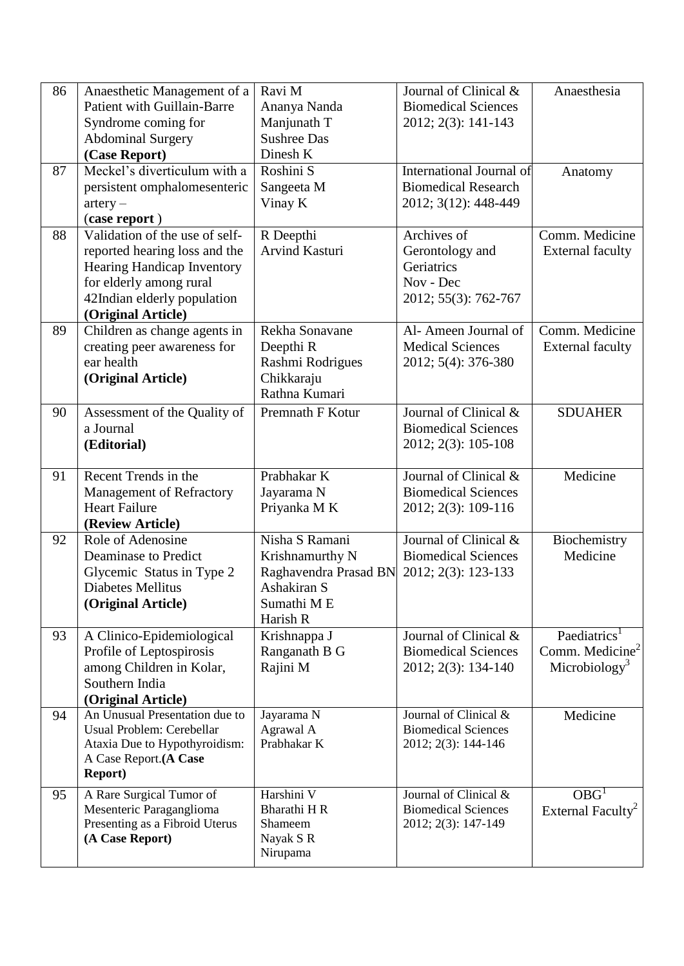| 86 | Anaesthetic Management of a        | Ravi M                | Journal of Clinical &      | Anaesthesia                   |
|----|------------------------------------|-----------------------|----------------------------|-------------------------------|
|    | <b>Patient with Guillain-Barre</b> | Ananya Nanda          | <b>Biomedical Sciences</b> |                               |
|    | Syndrome coming for                | Manjunath T           | 2012; 2(3): 141-143        |                               |
|    | <b>Abdominal Surgery</b>           | <b>Sushree Das</b>    |                            |                               |
|    | (Case Report)                      | Dinesh K              |                            |                               |
| 87 | Meckel's diverticulum with a       | Roshini S             | International Journal of   | Anatomy                       |
|    | persistent omphalomesenteric       | Sangeeta M            | <b>Biomedical Research</b> |                               |
|    | $artery -$                         | Vinay K               | 2012; 3(12): 448-449       |                               |
|    | (case report)                      |                       |                            |                               |
| 88 | Validation of the use of self-     | R Deepthi             | Archives of                | Comm. Medicine                |
|    | reported hearing loss and the      | Arvind Kasturi        | Gerontology and            | <b>External faculty</b>       |
|    | Hearing Handicap Inventory         |                       | Geriatrics                 |                               |
|    | for elderly among rural            |                       | Nov - Dec                  |                               |
|    | 42Indian elderly population        |                       | 2012; 55(3): 762-767       |                               |
|    | (Original Article)                 |                       |                            |                               |
| 89 | Children as change agents in       | Rekha Sonavane        | Al- Ameen Journal of       | Comm. Medicine                |
|    | creating peer awareness for        | Deepthi <sub>R</sub>  | <b>Medical Sciences</b>    | <b>External faculty</b>       |
|    | ear health                         | Rashmi Rodrigues      | 2012; 5(4): 376-380        |                               |
|    | (Original Article)                 | Chikkaraju            |                            |                               |
|    |                                    | Rathna Kumari         |                            |                               |
| 90 | Assessment of the Quality of       | Premnath F Kotur      | Journal of Clinical &      | <b>SDUAHER</b>                |
|    | a Journal                          |                       | <b>Biomedical Sciences</b> |                               |
|    | (Editorial)                        |                       | 2012; 2(3): 105-108        |                               |
|    |                                    |                       |                            |                               |
| 91 | Recent Trends in the               | Prabhakar K           | Journal of Clinical &      | Medicine                      |
|    | <b>Management of Refractory</b>    | Jayarama N            | <b>Biomedical Sciences</b> |                               |
|    | <b>Heart Failure</b>               | Priyanka M K          | 2012; 2(3): 109-116        |                               |
|    | (Review Article)                   |                       |                            |                               |
| 92 | Role of Adenosine                  | Nisha S Ramani        | Journal of Clinical &      | Biochemistry                  |
|    | Deaminase to Predict               | Krishnamurthy N       | <b>Biomedical Sciences</b> | Medicine                      |
|    | Glycemic Status in Type 2          | Raghavendra Prasad BN | 2012; 2(3): 123-133        |                               |
|    | <b>Diabetes Mellitus</b>           | Ashakiran S           |                            |                               |
|    | (Original Article)                 | Sumathi ME            |                            |                               |
|    |                                    | Harish R              |                            |                               |
| 93 | A Clinico-Epidemiological          | Krishnappa J          | Journal of Clinical &      | Paediatrics <sup>1</sup>      |
|    | Profile of Leptospirosis           | Ranganath B G         | <b>Biomedical Sciences</b> | Comm. Medicine $2$            |
|    | among Children in Kolar,           | Rajini M              | 2012; 2(3): 134-140        | Microbiology <sup>3</sup>     |
|    | Southern India                     |                       |                            |                               |
|    | (Original Article)                 |                       |                            |                               |
| 94 | An Unusual Presentation due to     | Jayarama N            | Journal of Clinical &      | Medicine                      |
|    | Usual Problem: Cerebellar          | Agrawal A             | <b>Biomedical Sciences</b> |                               |
|    | Ataxia Due to Hypothyroidism:      | Prabhakar K           | 2012; 2(3): 144-146        |                               |
|    | A Case Report.(A Case              |                       |                            |                               |
|    | <b>Report</b> )                    |                       |                            |                               |
| 95 | A Rare Surgical Tumor of           | Harshini V            | Journal of Clinical &      | OBG <sup>1</sup>              |
|    | Mesenteric Paraganglioma           | Bharathi H R          | <b>Biomedical Sciences</b> | External Faculty <sup>2</sup> |
|    | Presenting as a Fibroid Uterus     | Shameem               | 2012; 2(3): 147-149        |                               |
|    | (A Case Report)                    | Nayak S R             |                            |                               |
|    |                                    | Nirupama              |                            |                               |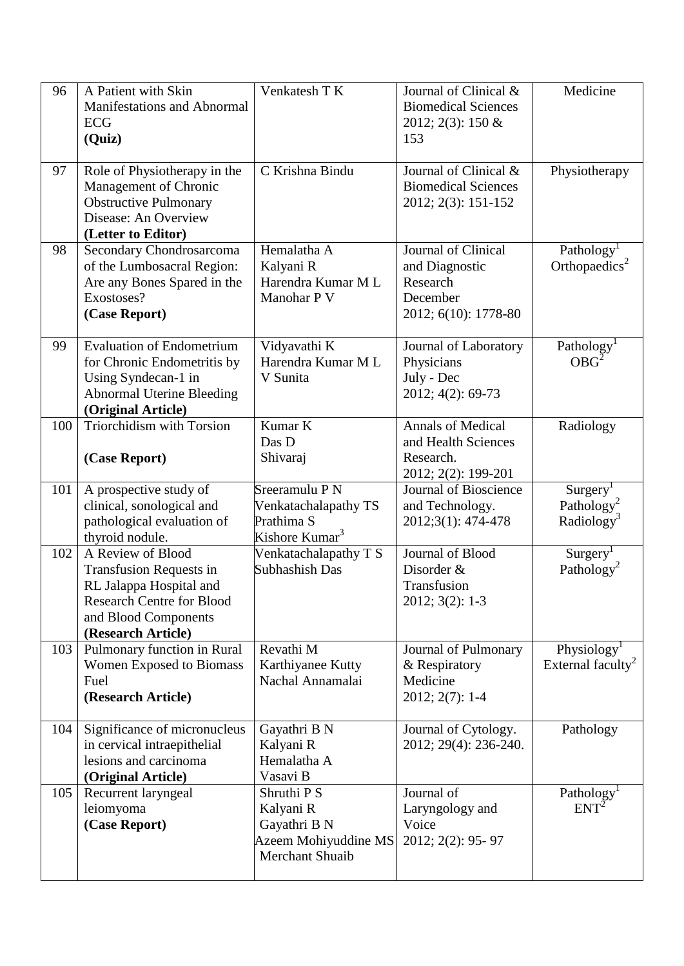| 96  | A Patient with Skin<br>Manifestations and Abnormal<br>ECG<br>(Quiz)                                                                                              | Venkatesh T K                                                                       | Journal of Clinical &<br><b>Biomedical Sciences</b><br>2012; 2(3): 150 $&$<br>153     | Medicine                                                                 |
|-----|------------------------------------------------------------------------------------------------------------------------------------------------------------------|-------------------------------------------------------------------------------------|---------------------------------------------------------------------------------------|--------------------------------------------------------------------------|
| 97  | Role of Physiotherapy in the<br>Management of Chronic<br><b>Obstructive Pulmonary</b><br>Disease: An Overview<br>(Letter to Editor)                              | C Krishna Bindu                                                                     | Journal of Clinical &<br><b>Biomedical Sciences</b><br>2012; 2(3): 151-152            | Physiotherapy                                                            |
| 98  | Secondary Chondrosarcoma<br>of the Lumbosacral Region:<br>Are any Bones Spared in the<br>Exostoses?<br>(Case Report)                                             | Hemalatha A<br>Kalyani R<br>Harendra Kumar M L<br>Manohar P V                       | Journal of Clinical<br>and Diagnostic<br>Research<br>December<br>2012; 6(10): 1778-80 | Pathology<br>Orthopaedics <sup>2</sup>                                   |
| 99  | <b>Evaluation of Endometrium</b><br>for Chronic Endometritis by<br>Using Syndecan-1 in<br><b>Abnormal Uterine Bleeding</b><br>(Original Article)                 | Vidyavathi K<br>Harendra Kumar M L<br>V Sunita                                      | Journal of Laboratory<br>Physicians<br>July - Dec<br>2012; 4(2): 69-73                | Pathology <sup>1</sup><br>OBG <sup>2</sup>                               |
| 100 | Triorchidism with Torsion<br>(Case Report)                                                                                                                       | Kumar K<br>Das D<br>Shivaraj                                                        | <b>Annals of Medical</b><br>and Health Sciences<br>Research.<br>2012; 2(2): 199-201   | Radiology                                                                |
| 101 | A prospective study of<br>clinical, sonological and<br>pathological evaluation of<br>thyroid nodule.                                                             | Sreeramulu P N<br>Venkatachalapathy TS<br>Prathima S<br>Kishore Kumar <sup>3</sup>  | Journal of Bioscience<br>and Technology.<br>2012;3(1): 474-478                        | Surgery <sup>1</sup><br>Pathology <sup>2</sup><br>Radiology <sup>3</sup> |
| 102 | A Review of Blood<br><b>Transfusion Requests in</b><br>RL Jalappa Hospital and<br><b>Research Centre for Blood</b><br>and Blood Components<br>(Research Article) | Venkatachalapathy T S<br>Subhashish Das                                             | Journal of Blood<br>Disorder &<br>Transfusion<br>$2012; 3(2): 1-3$                    | Surgery <sup>1</sup><br>Pathology <sup>2</sup>                           |
| 103 | Pulmonary function in Rural<br>Women Exposed to Biomass<br>Fuel<br>(Research Article)                                                                            | Revathi M<br>Karthiyanee Kutty<br>Nachal Annamalai                                  | Journal of Pulmonary<br>& Respiratory<br>Medicine<br>$2012; 2(7): 1-4$                | Physiology <sup>1</sup><br>External faculty <sup>2</sup>                 |
| 104 | Significance of micronucleus<br>in cervical intraepithelial<br>lesions and carcinoma<br>(Original Article)                                                       | Gayathri B N<br>Kalyani R<br>Hemalatha A<br>Vasavi B                                | Journal of Cytology.<br>2012; 29(4): 236-240.                                         | Pathology                                                                |
| 105 | Recurrent laryngeal<br>leiomyoma<br>(Case Report)                                                                                                                | Shruthi P S<br>Kalyani R<br>Gayathri B N<br>Azeem Mohiyuddine MS<br>Merchant Shuaib | Journal of<br>Laryngology and<br>Voice<br>2012; 2(2): 95-97                           | Pathology <sup>1</sup><br>$ENT^{\tilde{2}}$                              |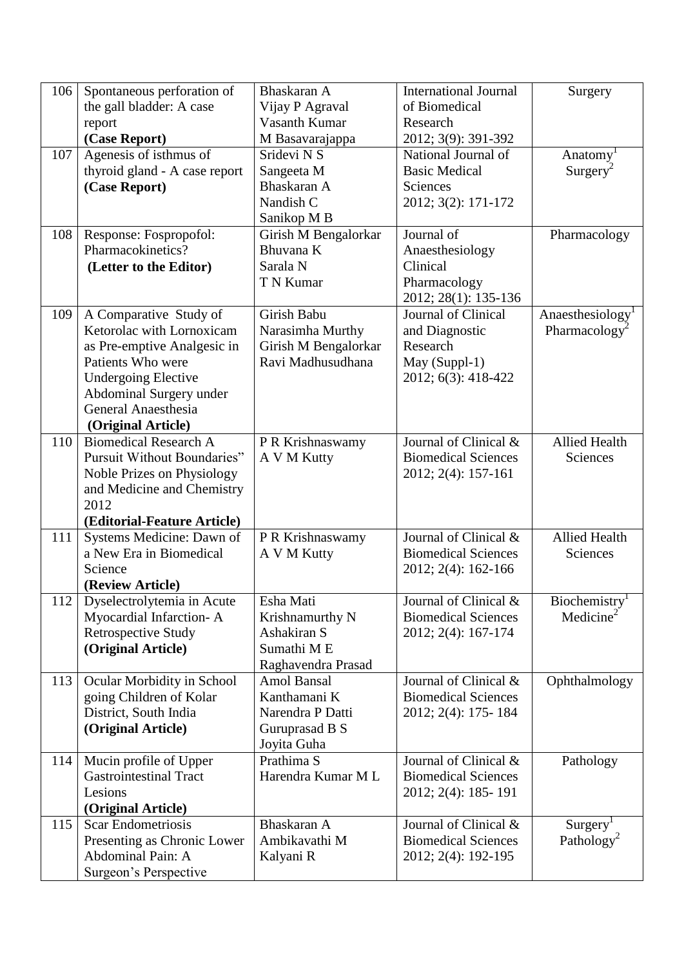| 106 | Spontaneous perforation of                       | Bhaskaran A                               | <b>International Journal</b>         | Surgery                   |
|-----|--------------------------------------------------|-------------------------------------------|--------------------------------------|---------------------------|
|     | the gall bladder: A case                         | Vijay P Agraval                           | of Biomedical                        |                           |
|     | report                                           | Vasanth Kumar                             | Research                             |                           |
|     | (Case Report)                                    | M Basavarajappa                           | 2012; 3(9): 391-392                  |                           |
| 107 | Agenesis of isthmus of                           | Sridevi N S                               | National Journal of                  | Anatomy                   |
|     | thyroid gland - A case report                    | Sangeeta M                                | <b>Basic Medical</b>                 | $Surgery^2$               |
|     | (Case Report)                                    | Bhaskaran A                               | Sciences                             |                           |
|     |                                                  | Nandish C                                 | 2012; 3(2): 171-172                  |                           |
|     |                                                  | Sanikop M B                               |                                      |                           |
| 108 | Response: Fospropofol:                           | Girish M Bengalorkar                      | Journal of                           | Pharmacology              |
|     | Pharmacokinetics?                                | Bhuvana K                                 | Anaesthesiology                      |                           |
|     | (Letter to the Editor)                           | Sarala N                                  | Clinical                             |                           |
|     |                                                  | T N Kumar                                 | Pharmacology                         |                           |
|     |                                                  |                                           | 2012; 28(1): 135-136                 |                           |
| 109 | A Comparative Study of                           | Girish Babu                               | Journal of Clinical                  | Anaesthesiology           |
|     | Ketorolac with Lornoxicam                        | Narasimha Murthy                          | and Diagnostic<br>Research           | Pharmacology <sup>2</sup> |
|     | as Pre-emptive Analgesic in<br>Patients Who were | Girish M Bengalorkar<br>Ravi Madhusudhana |                                      |                           |
|     | <b>Undergoing Elective</b>                       |                                           | May (Suppl-1)<br>2012; 6(3): 418-422 |                           |
|     | Abdominal Surgery under                          |                                           |                                      |                           |
|     | General Anaesthesia                              |                                           |                                      |                           |
|     | (Original Article)                               |                                           |                                      |                           |
| 110 | <b>Biomedical Research A</b>                     | P R Krishnaswamy                          | Journal of Clinical &                | <b>Allied Health</b>      |
|     | Pursuit Without Boundaries"                      | A V M Kutty                               | <b>Biomedical Sciences</b>           | <b>Sciences</b>           |
|     | Noble Prizes on Physiology                       |                                           | 2012; 2(4): 157-161                  |                           |
|     | and Medicine and Chemistry                       |                                           |                                      |                           |
|     | 2012                                             |                                           |                                      |                           |
|     | (Editorial-Feature Article)                      |                                           |                                      |                           |
| 111 | Systems Medicine: Dawn of                        | P R Krishnaswamy                          | Journal of Clinical &                | <b>Allied Health</b>      |
|     | a New Era in Biomedical                          | A V M Kutty                               | <b>Biomedical Sciences</b>           | <b>Sciences</b>           |
|     | Science                                          |                                           | 2012; 2(4): 162-166                  |                           |
|     | (Review Article)                                 |                                           |                                      |                           |
| 112 | Dyselectrolytemia in Acute                       | Esha Mati                                 | Journal of Clinical &                | Biochemistry <sup>1</sup> |
|     | Myocardial Infarction-A                          | Krishnamurthy N                           | <b>Biomedical Sciences</b>           | Medicine <sup>2</sup>     |
|     | <b>Retrospective Study</b>                       | Ashakiran S                               | 2012; 2(4): 167-174                  |                           |
|     | (Original Article)                               | Sumathi ME                                |                                      |                           |
|     |                                                  | Raghavendra Prasad                        |                                      |                           |
| 113 | Ocular Morbidity in School                       | Amol Bansal                               | Journal of Clinical &                | Ophthalmology             |
|     | going Children of Kolar                          | Kanthamani K<br>Narendra P Datti          | <b>Biomedical Sciences</b>           |                           |
|     | District, South India                            |                                           | 2012; 2(4): 175- 184                 |                           |
|     | (Original Article)                               | Guruprasad B S<br>Joyita Guha             |                                      |                           |
| 114 | Mucin profile of Upper                           | Prathima S                                | Journal of Clinical &                | Pathology                 |
|     | <b>Gastrointestinal Tract</b>                    | Harendra Kumar M L                        | <b>Biomedical Sciences</b>           |                           |
|     | Lesions                                          |                                           | 2012; 2(4): 185-191                  |                           |
|     | (Original Article)                               |                                           |                                      |                           |
| 115 | <b>Scar Endometriosis</b>                        | Bhaskaran A                               | Journal of Clinical &                | Surgery <sup>1</sup>      |
|     | Presenting as Chronic Lower                      | Ambikavathi M                             | <b>Biomedical Sciences</b>           | Pathology <sup>2</sup>    |
|     | Abdominal Pain: A                                | Kalyani R                                 | 2012; 2(4): 192-195                  |                           |
|     | Surgeon's Perspective                            |                                           |                                      |                           |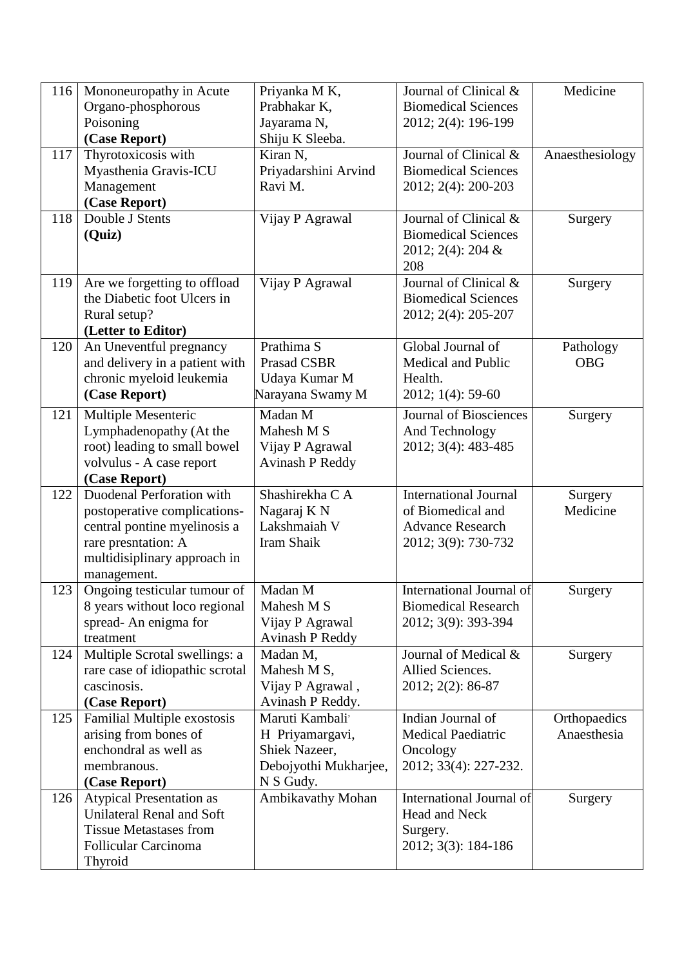| 116 | Mononeuropathy in Acute         | Priyanka M K,          | Journal of Clinical &         | Medicine        |
|-----|---------------------------------|------------------------|-------------------------------|-----------------|
|     | Organo-phosphorous              | Prabhakar K,           | <b>Biomedical Sciences</b>    |                 |
|     | Poisoning                       | Jayarama N,            | 2012; 2(4): 196-199           |                 |
|     | (Case Report)                   | Shiju K Sleeba.        |                               |                 |
| 117 | Thyrotoxicosis with             | Kiran N,               | Journal of Clinical &         | Anaesthesiology |
|     | Myasthenia Gravis-ICU           | Priyadarshini Arvind   | <b>Biomedical Sciences</b>    |                 |
|     | Management                      | Ravi M.                | 2012; 2(4): 200-203           |                 |
|     | (Case Report)                   |                        |                               |                 |
| 118 | Double J Stents                 | Vijay P Agrawal        | Journal of Clinical &         | Surgery         |
|     | (Quiz)                          |                        | <b>Biomedical Sciences</b>    |                 |
|     |                                 |                        | 2012; 2(4): 204 &             |                 |
|     |                                 |                        | 208                           |                 |
| 119 | Are we forgetting to offload    | Vijay P Agrawal        | Journal of Clinical &         | Surgery         |
|     | the Diabetic foot Ulcers in     |                        | <b>Biomedical Sciences</b>    |                 |
|     | Rural setup?                    |                        | 2012; 2(4): 205-207           |                 |
|     | (Letter to Editor)              |                        |                               |                 |
| 120 | An Uneventful pregnancy         | Prathima S             | Global Journal of             | Pathology       |
|     | and delivery in a patient with  | Prasad CSBR            | Medical and Public            | <b>OBG</b>      |
|     | chronic myeloid leukemia        | Udaya Kumar M          | Health.                       |                 |
|     | (Case Report)                   | Narayana Swamy M       | 2012; 1(4): 59-60             |                 |
| 121 | Multiple Mesenteric             | Madan M                | <b>Journal of Biosciences</b> | Surgery         |
|     | Lymphadenopathy (At the         | Mahesh M S             | And Technology                |                 |
|     | root) leading to small bowel    | Vijay P Agrawal        | 2012; 3(4): 483-485           |                 |
|     | volvulus - A case report        | <b>Avinash P Reddy</b> |                               |                 |
|     | (Case Report)                   |                        |                               |                 |
| 122 | Duodenal Perforation with       | Shashirekha C A        | <b>International Journal</b>  | Surgery         |
|     | postoperative complications-    | Nagaraj K N            | of Biomedical and             | Medicine        |
|     | central pontine myelinosis a    | Lakshmaiah V           | <b>Advance Research</b>       |                 |
|     | rare presntation: A             | Iram Shaik             | 2012; 3(9): 730-732           |                 |
|     | multidisiplinary approach in    |                        |                               |                 |
|     | management.                     |                        |                               |                 |
| 123 | Ongoing testicular tumour of    | Madan M                | International Journal of      | Surgery         |
|     | 8 years without loco regional   | Mahesh M S             | <b>Biomedical Research</b>    |                 |
|     | spread-An enigma for            | Vijay P Agrawal        | 2012; 3(9): 393-394           |                 |
|     | treatment                       | <b>Avinash P Reddy</b> |                               |                 |
| 124 | Multiple Scrotal swellings: a   | Madan M,               | Journal of Medical &          | Surgery         |
|     | rare case of idiopathic scrotal | Mahesh M S,            | Allied Sciences.              |                 |
|     | cascinosis.                     | Vijay P Agrawal,       | 2012; 2(2): 86-87             |                 |
|     | (Case Report)                   | Avinash P Reddy.       |                               |                 |
| 125 | Familial Multiple exostosis     | Maruti Kambali'        | Indian Journal of             | Orthopaedics    |
|     | arising from bones of           | H Priyamargavi,        | <b>Medical Paediatric</b>     | Anaesthesia     |
|     | enchondral as well as           | Shiek Nazeer,          | Oncology                      |                 |
|     | membranous.                     | Debojyothi Mukharjee,  | 2012; 33(4): 227-232.         |                 |
|     | (Case Report)                   | N S Gudy.              |                               |                 |
| 126 | <b>Atypical Presentation as</b> | Ambikavathy Mohan      | International Journal of      | Surgery         |
|     | Unilateral Renal and Soft       |                        | Head and Neck                 |                 |
|     | <b>Tissue Metastases from</b>   |                        | Surgery.                      |                 |
|     | <b>Follicular Carcinoma</b>     |                        | 2012; 3(3): 184-186           |                 |
|     | Thyroid                         |                        |                               |                 |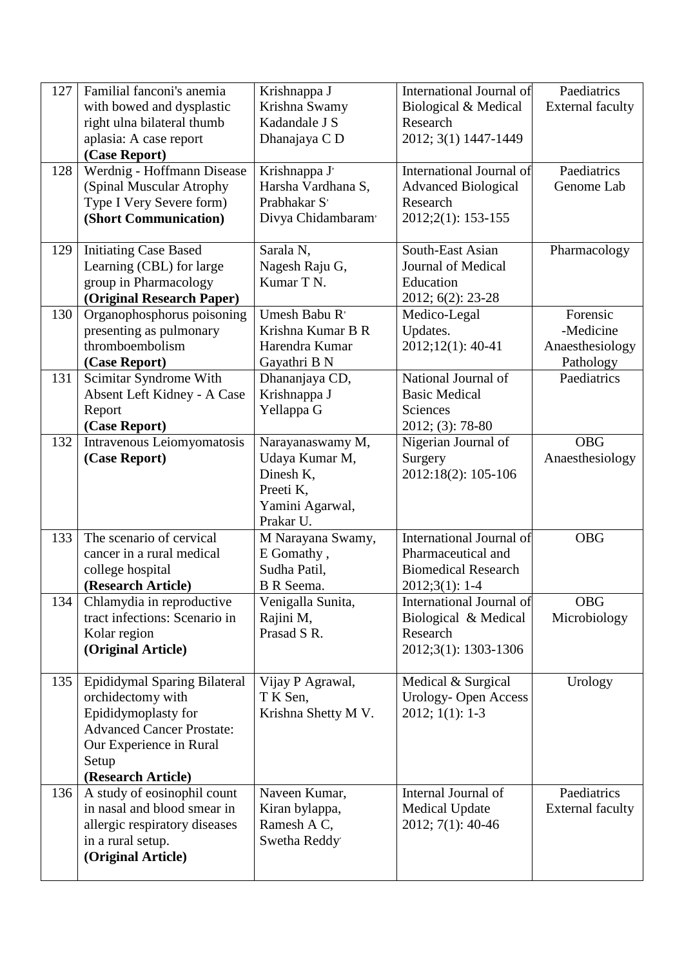| 127 | Familial fanconi's anemia<br>with bowed and dysplastic<br>right ulna bilateral thumb<br>aplasia: A case report<br>(Case Report)                                        | Krishnappa J<br>Krishna Swamy<br>Kadandale J S<br>Dhanajaya C D                              | International Journal of<br>Biological & Medical<br>Research<br>2012; 3(1) 1447-1449                   | Paediatrics<br><b>External faculty</b>                |
|-----|------------------------------------------------------------------------------------------------------------------------------------------------------------------------|----------------------------------------------------------------------------------------------|--------------------------------------------------------------------------------------------------------|-------------------------------------------------------|
| 128 | Werdnig - Hoffmann Disease<br>(Spinal Muscular Atrophy<br>Type I Very Severe form)<br>(Short Communication)                                                            | Krishnappa J'<br>Harsha Vardhana S,<br>Prabhakar S'<br>Divya Chidambaram'                    | International Journal of<br><b>Advanced Biological</b><br>Research<br>2012;2(1): 153-155               | Paediatrics<br>Genome Lab                             |
| 129 | <b>Initiating Case Based</b><br>Learning (CBL) for large<br>group in Pharmacology<br>(Original Research Paper)                                                         | Sarala N,<br>Nagesh Raju G,<br>Kumar T N.                                                    | South-East Asian<br><b>Journal of Medical</b><br>Education<br>2012; 6(2): 23-28                        | Pharmacology                                          |
| 130 | Organophosphorus poisoning<br>presenting as pulmonary<br>thromboembolism<br>(Case Report)                                                                              | Umesh Babu R'<br>Krishna Kumar B R<br>Harendra Kumar<br>Gayathri B N                         | Medico-Legal<br>Updates.<br>2012;12(1): 40-41                                                          | Forensic<br>-Medicine<br>Anaesthesiology<br>Pathology |
| 131 | Scimitar Syndrome With<br>Absent Left Kidney - A Case<br>Report<br>(Case Report)                                                                                       | Dhananjaya CD,<br>Krishnappa J<br>Yellappa G                                                 | National Journal of<br><b>Basic Medical</b><br>Sciences<br>2012; (3): 78-80                            | Paediatrics                                           |
| 132 | Intravenous Leiomyomatosis<br>(Case Report)                                                                                                                            | Narayanaswamy M,<br>Udaya Kumar M,<br>Dinesh K,<br>Preeti K,<br>Yamini Agarwal,<br>Prakar U. | Nigerian Journal of<br>Surgery<br>2012:18(2): 105-106                                                  | <b>OBG</b><br>Anaesthesiology                         |
| 133 | The scenario of cervical<br>cancer in a rural medical<br>college hospital<br>(Research Article)                                                                        | M Narayana Swamy,<br>E Gomathy,<br>Sudha Patil,<br>B R Seema.                                | <b>International Journal of</b><br>Pharmaceutical and<br><b>Biomedical Research</b><br>$2012;3(1):1-4$ | <b>OBG</b>                                            |
| 134 | Chlamydia in reproductive<br>tract infections: Scenario in<br>Kolar region<br>(Original Article)                                                                       | Venigalla Sunita,<br>Rajini M,<br>Prasad S R.                                                | International Journal of<br>Biological & Medical<br>Research<br>2012;3(1): 1303-1306                   | <b>OBG</b><br>Microbiology                            |
| 135 | Epididymal Sparing Bilateral<br>orchidectomy with<br>Epididymoplasty for<br><b>Advanced Cancer Prostate:</b><br>Our Experience in Rural<br>Setup<br>(Research Article) | Vijay P Agrawal,<br>T K Sen,<br>Krishna Shetty M V.                                          | Medical & Surgical<br>Urology-Open Access<br>$2012; 1(1): 1-3$                                         | Urology                                               |
| 136 | A study of eosinophil count<br>in nasal and blood smear in<br>allergic respiratory diseases<br>in a rural setup.<br>(Original Article)                                 | Naveen Kumar,<br>Kiran bylappa,<br>Ramesh A C,<br>Swetha Reddy                               | Internal Journal of<br><b>Medical Update</b><br>2012; 7(1): 40-46                                      | Paediatrics<br><b>External faculty</b>                |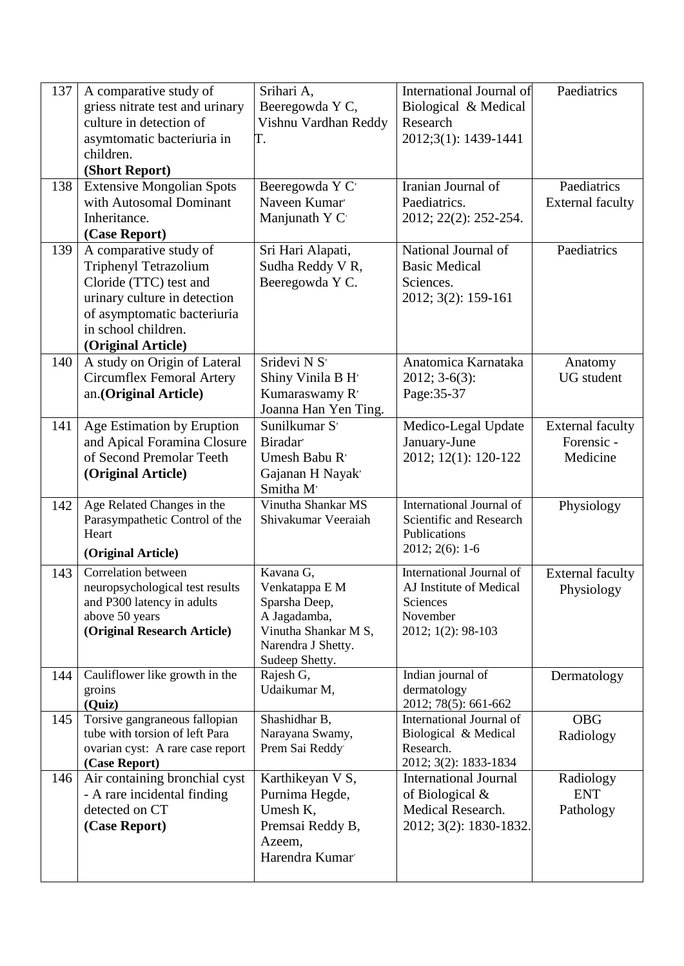| 137 | A comparative study of<br>griess nitrate test and urinary       | Srihari A,<br>Beeregowda Y C,         | International Journal of<br>Biological & Medical | Paediatrics                           |
|-----|-----------------------------------------------------------------|---------------------------------------|--------------------------------------------------|---------------------------------------|
|     | culture in detection of                                         | Vishnu Vardhan Reddy                  | Research                                         |                                       |
|     | asymtomatic bacteriuria in<br>children.                         | Τ.                                    | 2012;3(1): 1439-1441                             |                                       |
|     | (Short Report)                                                  |                                       |                                                  |                                       |
| 138 | <b>Extensive Mongolian Spots</b>                                | Beeregowda Y C                        | Iranian Journal of                               | Paediatrics                           |
|     | with Autosomal Dominant                                         | Naveen Kumar                          | Paediatrics.                                     | <b>External faculty</b>               |
|     | Inheritance.                                                    | Manjunath Y C                         | 2012; 22(2): 252-254.                            |                                       |
|     | (Case Report)                                                   |                                       |                                                  |                                       |
| 139 | A comparative study of                                          | Sri Hari Alapati,                     | National Journal of                              | Paediatrics                           |
|     | <b>Triphenyl Tetrazolium</b><br>Cloride (TTC) test and          | Sudha Reddy V R,<br>Beeregowda Y C.   | <b>Basic Medical</b><br>Sciences.                |                                       |
|     | urinary culture in detection                                    |                                       | 2012; 3(2): 159-161                              |                                       |
|     | of asymptomatic bacteriuria                                     |                                       |                                                  |                                       |
|     | in school children.                                             |                                       |                                                  |                                       |
|     | (Original Article)                                              |                                       |                                                  |                                       |
| 140 | A study on Origin of Lateral                                    | Sridevi N S'                          | Anatomica Karnataka                              | Anatomy                               |
|     | <b>Circumflex Femoral Artery</b>                                | Shiny Vinila B H'                     | $2012; 3-6(3):$                                  | <b>UG</b> student                     |
|     | an.(Original Article)                                           | Kumaraswamy R'                        | Page: 35-37                                      |                                       |
| 141 | Age Estimation by Eruption                                      | Joanna Han Yen Ting.<br>Sunilkumar S' | Medico-Legal Update                              | <b>External faculty</b>               |
|     | and Apical Foramina Closure                                     | Biradar'                              | January-June                                     | Forensic -                            |
|     | of Second Premolar Teeth                                        | Umesh Babu R'                         | 2012; 12(1): 120-122                             | Medicine                              |
|     | (Original Article)                                              | Gajanan H Nayak                       |                                                  |                                       |
|     |                                                                 | Smitha M <sup>®</sup>                 |                                                  |                                       |
| 142 | Age Related Changes in the                                      | Vinutha Shankar MS                    | International Journal of                         | Physiology                            |
|     | Parasympathetic Control of the<br>Heart                         | Shivakumar Veeraiah                   | Scientific and Research<br>Publications          |                                       |
|     | (Original Article)                                              |                                       | $2012; 2(6): 1-6$                                |                                       |
|     | <b>Correlation between</b>                                      | Kavana G,                             | International Journal of                         |                                       |
| 143 | neuropsychological test results                                 | Venkatappa E M                        | AJ Institute of Medical                          | <b>External faculty</b><br>Physiology |
|     | and P300 latency in adults                                      | Sparsha Deep,                         | Sciences                                         |                                       |
|     | above 50 years                                                  | A Jagadamba,                          | November                                         |                                       |
|     | (Original Research Article)                                     | Vinutha Shankar M S,                  | 2012; 1(2): 98-103                               |                                       |
|     |                                                                 | Narendra J Shetty.<br>Sudeep Shetty.  |                                                  |                                       |
| 144 | Cauliflower like growth in the                                  | Rajesh G,                             | Indian journal of                                | Dermatology                           |
|     | groins                                                          | Udaikumar M,                          | dermatology                                      |                                       |
|     | (Quiz)                                                          |                                       | 2012; 78(5): 661-662                             |                                       |
| 145 | Torsive gangraneous fallopian<br>tube with torsion of left Para | Shashidhar B,<br>Narayana Swamy,      | International Journal of<br>Biological & Medical | <b>OBG</b><br>Radiology               |
|     | ovarian cyst: A rare case report                                | Prem Sai Reddy                        | Research.                                        |                                       |
|     | (Case Report)                                                   |                                       | 2012; 3(2): 1833-1834                            |                                       |
| 146 | Air containing bronchial cyst                                   | Karthikeyan V S,                      | <b>International Journal</b>                     | Radiology                             |
|     | - A rare incidental finding                                     | Purnima Hegde,                        | of Biological $&$                                | <b>ENT</b>                            |
|     | detected on CT                                                  | Umesh K,                              | Medical Research.                                | Pathology                             |
|     | (Case Report)                                                   | Premsai Reddy B,<br>Azeem,            | 2012; 3(2): 1830-1832.                           |                                       |
|     |                                                                 | Harendra Kumar                        |                                                  |                                       |
|     |                                                                 |                                       |                                                  |                                       |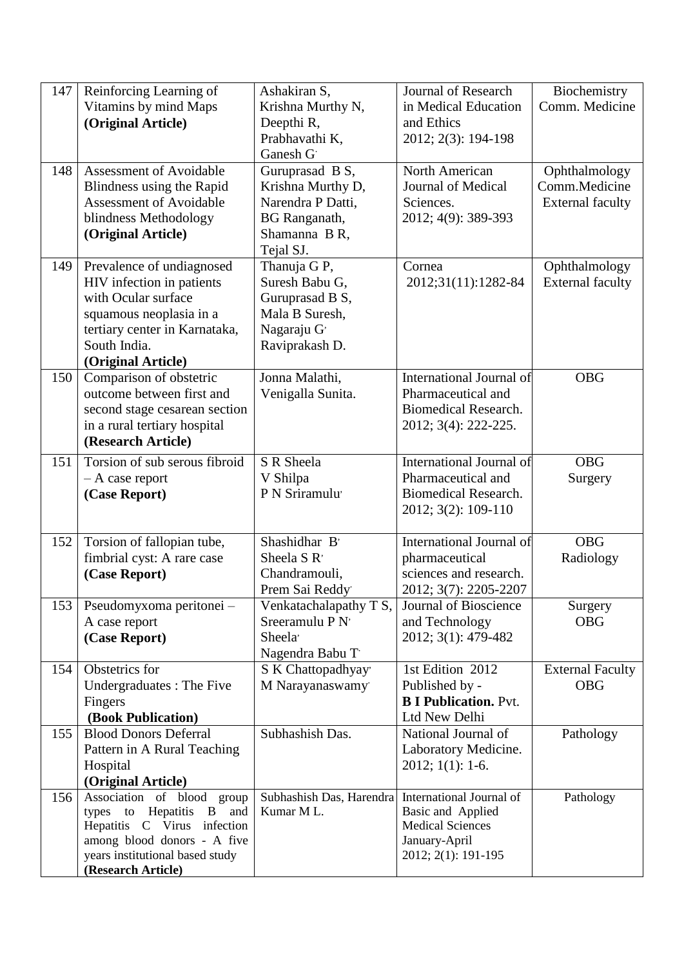| 147 | Reinforcing Learning of<br>Vitamins by mind Maps<br>(Original Article)                                                                                                                                               | Ashakiran S,<br>Krishna Murthy N,<br>Deepthi R,<br>Prabhavathi K,<br>Ganesh G                                   | <b>Journal of Research</b><br>in Medical Education<br>and Ethics<br>2012; 2(3): 194-198                          | Biochemistry<br>Comm. Medicine                            |
|-----|----------------------------------------------------------------------------------------------------------------------------------------------------------------------------------------------------------------------|-----------------------------------------------------------------------------------------------------------------|------------------------------------------------------------------------------------------------------------------|-----------------------------------------------------------|
| 148 | Assessment of Avoidable<br>Blindness using the Rapid<br><b>Assessment of Avoidable</b><br>blindness Methodology<br>(Original Article)                                                                                | Guruprasad B S,<br>Krishna Murthy D,<br>Narendra P Datti,<br><b>BG</b> Ranganath,<br>Shamanna B R,<br>Tejal SJ. | North American<br>Journal of Medical<br>Sciences.<br>2012; 4(9): 389-393                                         | Ophthalmology<br>Comm.Medicine<br><b>External faculty</b> |
| 149 | Prevalence of undiagnosed<br>HIV infection in patients<br>with Ocular surface<br>squamous neoplasia in a<br>tertiary center in Karnataka,<br>South India.<br>(Original Article)                                      | Thanuja G P,<br>Suresh Babu G,<br>Guruprasad B S,<br>Mala B Suresh,<br>Nagaraju G'<br>Raviprakash D.            | Cornea<br>2012;31(11):1282-84                                                                                    | Ophthalmology<br><b>External faculty</b>                  |
| 150 | Comparison of obstetric<br>outcome between first and<br>second stage cesarean section<br>in a rural tertiary hospital<br>(Research Article)                                                                          | Jonna Malathi,<br>Venigalla Sunita.                                                                             | <b>International Journal of</b><br>Pharmaceutical and<br><b>Biomedical Research.</b><br>2012; 3(4): 222-225.     | <b>OBG</b>                                                |
| 151 | Torsion of sub serous fibroid<br>$- A$ case report<br>(Case Report)                                                                                                                                                  | S R Sheela<br>V Shilpa<br>P N Sriramulu'                                                                        | International Journal of<br>Pharmaceutical and<br><b>Biomedical Research.</b><br>2012; 3(2): 109-110             | <b>OBG</b><br>Surgery                                     |
| 152 | Torsion of fallopian tube,<br>fimbrial cyst: A rare case<br>(Case Report)                                                                                                                                            | Shashidhar B'<br>Sheela S R <sup>,</sup><br>Chandramouli,<br>Prem Sai Reddy                                     | International Journal of<br>pharmaceutical<br>sciences and research.<br>2012; 3(7): 2205-2207                    | <b>OBG</b><br>Radiology                                   |
| 153 | Pseudomyxoma peritonei -<br>A case report<br>(Case Report)                                                                                                                                                           | Venkatachalapathy T S,<br>Sreeramulu P N'<br>Sheela'<br>Nagendra Babu T                                         | Journal of Bioscience<br>and Technology<br>2012; 3(1): 479-482                                                   | Surgery<br><b>OBG</b>                                     |
| 154 | Obstetrics for<br>Undergraduates : The Five<br>Fingers<br>(Book Publication)                                                                                                                                         | S K Chattopadhyay'<br>M Narayanaswamy                                                                           | 1st Edition 2012<br>Published by -<br><b>B I Publication. Pvt.</b><br>Ltd New Delhi                              | <b>External Faculty</b><br><b>OBG</b>                     |
| 155 | <b>Blood Donors Deferral</b><br>Pattern in A Rural Teaching<br>Hospital<br>(Original Article)                                                                                                                        | Subhashish Das.                                                                                                 | National Journal of<br>Laboratory Medicine.<br>$2012; 1(1): 1-6.$                                                | Pathology                                                 |
| 156 | Association of blood<br>group<br>Hepatitis<br>${\rm to}$<br>$\overline{B}$<br>and<br>types<br>Hepatitis C Virus<br>infection<br>among blood donors - A five<br>years institutional based study<br>(Research Article) | Subhashish Das, Harendra<br>Kumar ML.                                                                           | International Journal of<br>Basic and Applied<br><b>Medical Sciences</b><br>January-April<br>2012; 2(1): 191-195 | Pathology                                                 |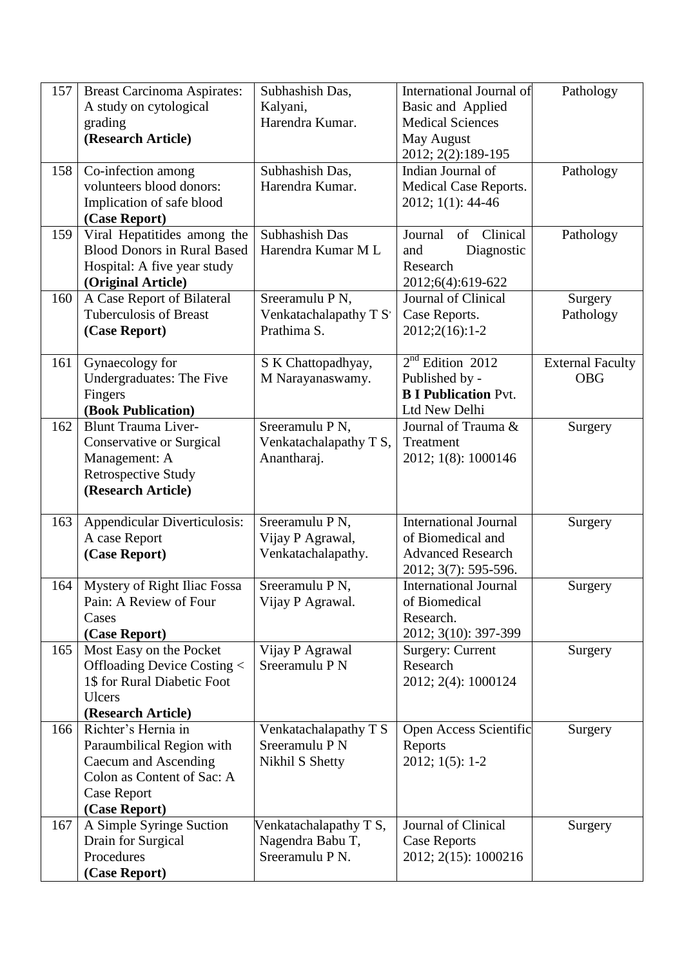| 157 | <b>Breast Carcinoma Aspirates:</b><br>A study on cytological<br>grading<br>(Research Article)                                                 | Subhashish Das,<br>Kalyani,<br>Harendra Kumar.                | International Journal of<br>Basic and Applied<br><b>Medical Sciences</b><br>May August<br>2012; 2(2):189-195 | Pathology                             |
|-----|-----------------------------------------------------------------------------------------------------------------------------------------------|---------------------------------------------------------------|--------------------------------------------------------------------------------------------------------------|---------------------------------------|
| 158 | Co-infection among<br>volunteers blood donors:<br>Implication of safe blood<br>(Case Report)                                                  | Subhashish Das,<br>Harendra Kumar.                            | Indian Journal of<br><b>Medical Case Reports.</b><br>2012; 1(1): 44-46                                       | Pathology                             |
| 159 | Viral Hepatitides among the<br><b>Blood Donors in Rural Based</b><br>Hospital: A five year study<br>(Original Article)                        | Subhashish Das<br>Harendra Kumar M L                          | Clinical<br>Journal<br>of<br>Diagnostic<br>and<br>Research<br>2012;6(4):619-622                              | Pathology                             |
| 160 | A Case Report of Bilateral<br><b>Tuberculosis of Breast</b><br>(Case Report)                                                                  | Sreeramulu P N,<br>Venkatachalapathy T S'<br>Prathima S.      | Journal of Clinical<br>Case Reports.<br>$2012;2(16):1-2$                                                     | Surgery<br>Pathology                  |
| 161 | Gynaecology for<br><b>Undergraduates: The Five</b><br>Fingers<br>(Book Publication)                                                           | S K Chattopadhyay,<br>M Narayanaswamy.                        | $2nd$ Edition 2012<br>Published by -<br><b>B I Publication Pvt.</b><br>Ltd New Delhi                         | <b>External Faculty</b><br><b>OBG</b> |
| 162 | <b>Blunt Trauma Liver-</b><br>Conservative or Surgical<br>Management: A<br><b>Retrospective Study</b><br>(Research Article)                   | Sreeramulu P N,<br>Venkatachalapathy T S,<br>Anantharaj.      | Journal of Trauma &<br>Treatment<br>2012; 1(8): 1000146                                                      | Surgery                               |
| 163 | Appendicular Diverticulosis:<br>A case Report<br>(Case Report)                                                                                | Sreeramulu P N,<br>Vijay P Agrawal,<br>Venkatachalapathy.     | <b>International Journal</b><br>of Biomedical and<br><b>Advanced Research</b><br>2012; 3(7): 595-596.        | Surgery                               |
| 164 | Mystery of Right Iliac Fossa<br>Pain: A Review of Four<br>Cases<br>(Case Report)                                                              | Sreeramulu P N,<br>Vijay P Agrawal.                           | <b>International Journal</b><br>of Biomedical<br>Research.<br>2012; 3(10): 397-399                           | Surgery                               |
| 165 | Most Easy on the Pocket<br>Offloading Device Costing <<br>1\$ for Rural Diabetic Foot<br><b>Ulcers</b><br>(Research Article)                  | Vijay P Agrawal<br>Sreeramulu P N                             | Surgery: Current<br>Research<br>2012; 2(4): 1000124                                                          | Surgery                               |
| 166 | Richter's Hernia in<br>Paraumbilical Region with<br>Caecum and Ascending<br>Colon as Content of Sac: A<br><b>Case Report</b><br>(Case Report) | Venkatachalapathy T S<br>Sreeramulu P N<br>Nikhil S Shetty    | Open Access Scientific<br>Reports<br>2012; 1(5): 1-2                                                         | Surgery                               |
| 167 | A Simple Syringe Suction<br>Drain for Surgical<br>Procedures<br>(Case Report)                                                                 | Venkatachalapathy T S,<br>Nagendra Babu T,<br>Sreeramulu P N. | Journal of Clinical<br><b>Case Reports</b><br>2012; 2(15): 1000216                                           | Surgery                               |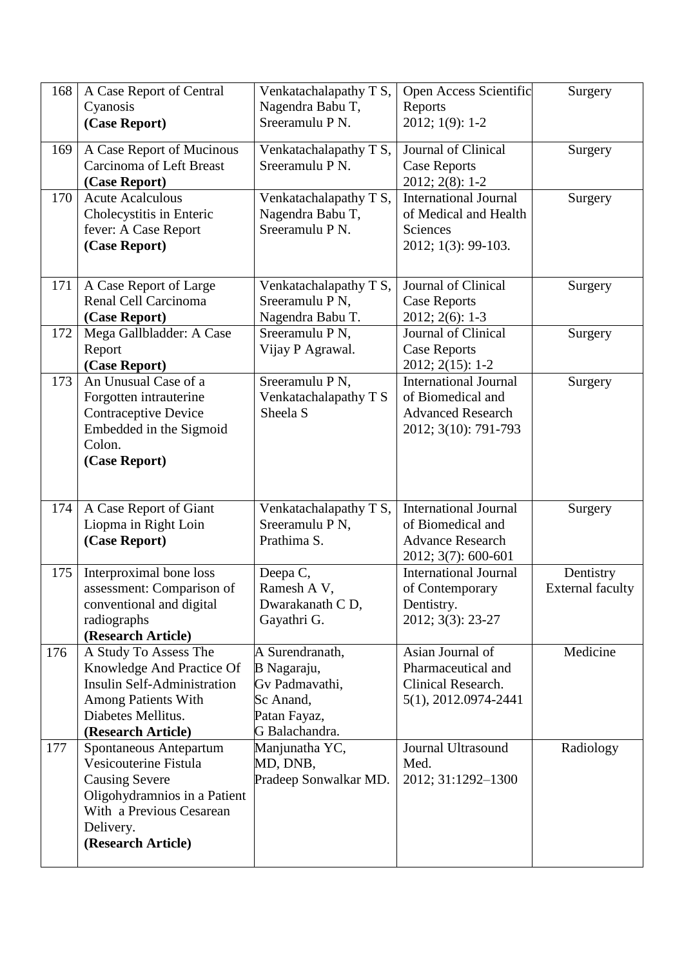| 168 | A Case Report of Central<br>Cyanosis                                                                                                                                    | Venkatachalapathy T S,<br>Nagendra Babu T,                                                      | Open Access Scientific<br>Reports                                                                     | Surgery                              |
|-----|-------------------------------------------------------------------------------------------------------------------------------------------------------------------------|-------------------------------------------------------------------------------------------------|-------------------------------------------------------------------------------------------------------|--------------------------------------|
|     | (Case Report)                                                                                                                                                           | Sreeramulu P N.                                                                                 | 2012; 1(9): 1-2                                                                                       |                                      |
| 169 | A Case Report of Mucinous<br><b>Carcinoma of Left Breast</b><br>(Case Report)                                                                                           | Venkatachalapathy T S,<br>Sreeramulu P N.                                                       | Journal of Clinical<br><b>Case Reports</b><br>$2012; 2(8): 1-2$                                       | Surgery                              |
| 170 | <b>Acute Acalculous</b><br>Cholecystitis in Enteric<br>fever: A Case Report<br>(Case Report)                                                                            | Venkatachalapathy T S,<br>Nagendra Babu T,<br>Sreeramulu P N.                                   | <b>International Journal</b><br>of Medical and Health<br><b>Sciences</b><br>2012; 1(3): 99-103.       | Surgery                              |
| 171 | A Case Report of Large<br>Renal Cell Carcinoma<br>(Case Report)                                                                                                         | Venkatachalapathy T S,<br>Sreeramulu P N,<br>Nagendra Babu T.                                   | Journal of Clinical<br><b>Case Reports</b><br>$2012; 2(6): 1-3$                                       | Surgery                              |
| 172 | Mega Gallbladder: A Case<br>Report<br>(Case Report)                                                                                                                     | Sreeramulu P N,<br>Vijay P Agrawal.                                                             | Journal of Clinical<br><b>Case Reports</b><br>2012; 2(15): 1-2                                        | Surgery                              |
| 173 | An Unusual Case of a<br>Forgotten intrauterine<br><b>Contraceptive Device</b><br>Embedded in the Sigmoid<br>Colon.<br>(Case Report)                                     | Sreeramulu P N,<br>Venkatachalapathy T S<br>Sheela S                                            | <b>International Journal</b><br>of Biomedical and<br><b>Advanced Research</b><br>2012; 3(10): 791-793 | Surgery                              |
| 174 | A Case Report of Giant<br>Liopma in Right Loin<br>(Case Report)                                                                                                         | Venkatachalapathy T S,<br>Sreeramulu P N,<br>Prathima S.                                        | International Journal<br>of Biomedical and<br><b>Advance Research</b><br>2012; 3(7): 600-601          | Surgery                              |
| 175 | Interproximal bone loss<br>assessment: Comparison of<br>conventional and digital<br>radiographs<br>(Research Article)                                                   | Deepa C,<br>Ramesh A V,<br>Dwarakanath CD,<br>Gayathri G.                                       | <b>International Journal</b><br>of Contemporary<br>Dentistry.<br>2012; 3(3): 23-27                    | Dentistry<br><b>External faculty</b> |
| 176 | A Study To Assess The<br>Knowledge And Practice Of<br>Insulin Self-Administration<br><b>Among Patients With</b><br>Diabetes Mellitus.<br>(Research Article)             | A Surendranath,<br>B Nagaraju,<br>Gv Padmavathi,<br>Sc Anand,<br>Patan Fayaz,<br>G Balachandra. | Asian Journal of<br>Pharmaceutical and<br>Clinical Research.<br>5(1), 2012.0974-2441                  | Medicine                             |
| 177 | Spontaneous Antepartum<br>Vesicouterine Fistula<br><b>Causing Severe</b><br>Oligohydramnios in a Patient<br>With a Previous Cesarean<br>Delivery.<br>(Research Article) | Manjunatha YC,<br>MD, DNB,<br>Pradeep Sonwalkar MD.                                             | Journal Ultrasound<br>Med.<br>2012; 31:1292-1300                                                      | Radiology                            |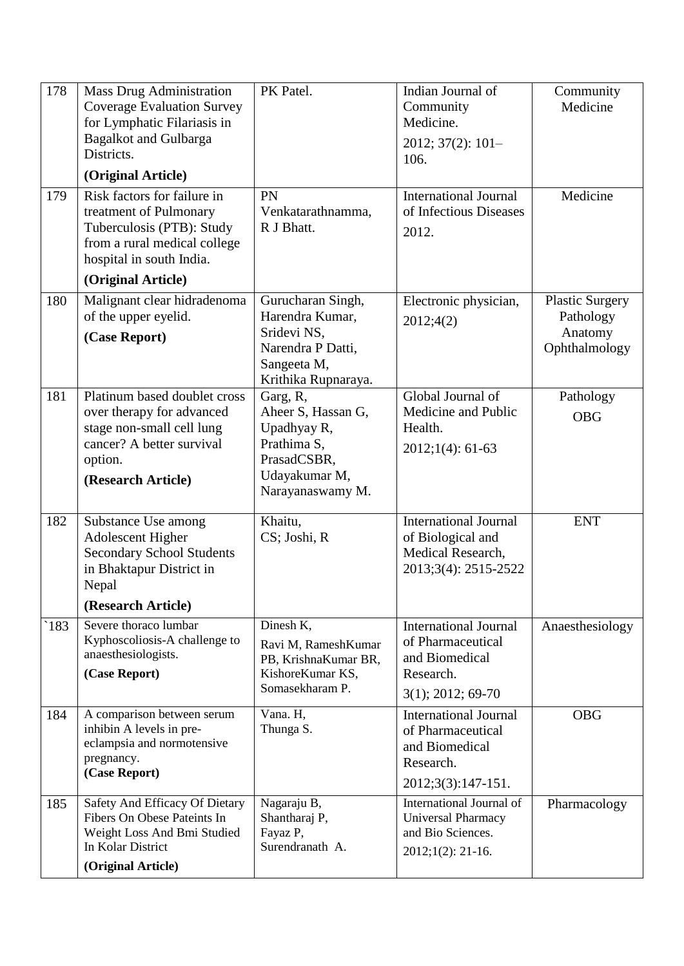| 178 | <b>Mass Drug Administration</b><br><b>Coverage Evaluation Survey</b><br>for Lymphatic Filariasis in<br><b>Bagalkot and Gulbarga</b><br>Districts.    | PK Patel.                                                                                                        | Indian Journal of<br>Community<br>Medicine.<br>$2012; 37(2): 101-$<br>106.                               | Community<br>Medicine                                           |
|-----|------------------------------------------------------------------------------------------------------------------------------------------------------|------------------------------------------------------------------------------------------------------------------|----------------------------------------------------------------------------------------------------------|-----------------------------------------------------------------|
| 179 | (Original Article)<br>Risk factors for failure in                                                                                                    | PN                                                                                                               | <b>International Journal</b>                                                                             | Medicine                                                        |
|     | treatment of Pulmonary<br>Tuberculosis (PTB): Study<br>from a rural medical college<br>hospital in south India.                                      | Venkatarathnamma,<br>R J Bhatt.                                                                                  | of Infectious Diseases<br>2012.                                                                          |                                                                 |
|     | (Original Article)                                                                                                                                   |                                                                                                                  |                                                                                                          |                                                                 |
| 180 | Malignant clear hidradenoma<br>of the upper eyelid.<br>(Case Report)                                                                                 | Gurucharan Singh,<br>Harendra Kumar,<br>Sridevi NS,<br>Narendra P Datti,<br>Sangeeta M,<br>Krithika Rupnaraya.   | Electronic physician,<br>2012;4(2)                                                                       | <b>Plastic Surgery</b><br>Pathology<br>Anatomy<br>Ophthalmology |
| 181 | Platinum based doublet cross<br>over therapy for advanced<br>stage non-small cell lung<br>cancer? A better survival<br>option.<br>(Research Article) | Garg, R,<br>Aheer S, Hassan G,<br>Upadhyay R,<br>Prathima S,<br>PrasadCSBR,<br>Udayakumar M,<br>Narayanaswamy M. | Global Journal of<br>Medicine and Public<br>Health.<br>$2012;1(4):61-63$                                 | Pathology<br><b>OBG</b>                                         |
| 182 | Substance Use among<br><b>Adolescent Higher</b><br><b>Secondary School Students</b><br>in Bhaktapur District in<br>Nepal<br>(Research Article)       | Khaitu,<br>CS; Joshi, R                                                                                          | <b>International Journal</b><br>of Biological and<br>Medical Research,<br>2013;3(4): 2515-2522           | <b>ENT</b>                                                      |
| 183 | Severe thoraco lumbar<br>Kyphoscoliosis-A challenge to<br>anaesthesiologists.<br>(Case Report)                                                       | Dinesh K,<br>Ravi M, RameshKumar<br>PB, KrishnaKumar BR,<br>KishoreKumar KS,<br>Somasekharam P.                  | <b>International Journal</b><br>of Pharmaceutical<br>and Biomedical<br>Research.<br>$3(1)$ ; 2012; 69-70 | Anaesthesiology                                                 |
| 184 | A comparison between serum<br>inhibin A levels in pre-<br>eclampsia and normotensive<br>pregnancy.<br>(Case Report)                                  | Vana. H,<br>Thunga S.                                                                                            | <b>International Journal</b><br>of Pharmaceutical<br>and Biomedical<br>Research.<br>2012;3(3):147-151.   | <b>OBG</b>                                                      |
| 185 | Safety And Efficacy Of Dietary<br>Fibers On Obese Pateints In<br>Weight Loss And Bmi Studied<br>In Kolar District<br>(Original Article)              | Nagaraju B,<br>Shantharaj P,<br>Fayaz P,<br>Surendranath A.                                                      | International Journal of<br>Universal Pharmacy<br>and Bio Sciences.<br>$2012;1(2): 21-16.$               | Pharmacology                                                    |